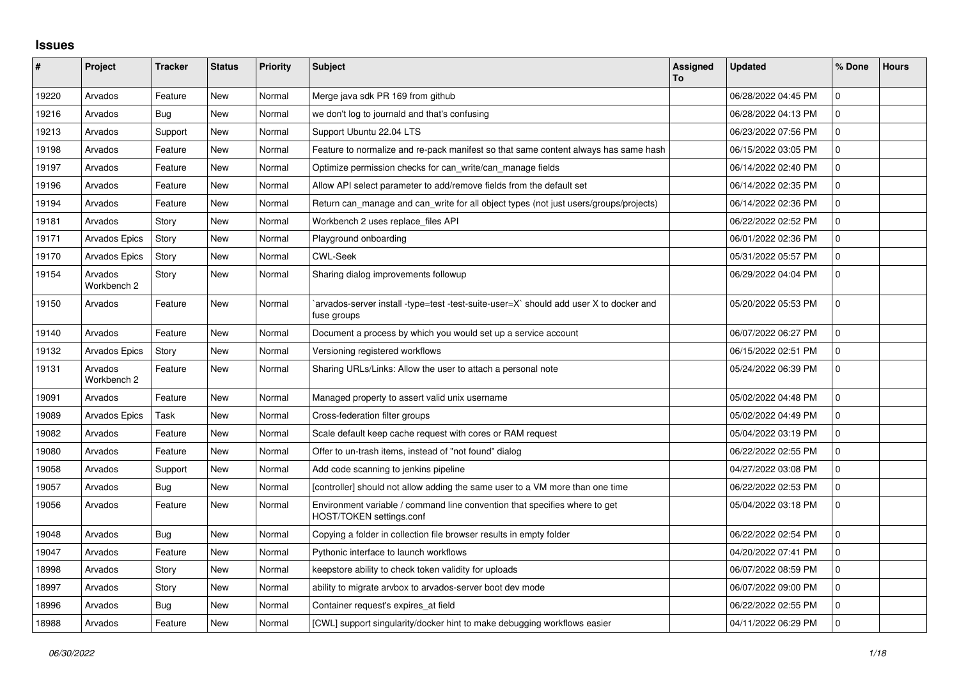## **Issues**

| #     | Project                | <b>Tracker</b> | <b>Status</b> | <b>Priority</b> | <b>Subject</b>                                                                                         | <b>Assigned</b><br>To | <b>Updated</b>      | % Done              | <b>Hours</b> |
|-------|------------------------|----------------|---------------|-----------------|--------------------------------------------------------------------------------------------------------|-----------------------|---------------------|---------------------|--------------|
| 19220 | Arvados                | Feature        | <b>New</b>    | Normal          | Merge java sdk PR 169 from github                                                                      |                       | 06/28/2022 04:45 PM | $\Omega$            |              |
| 19216 | Arvados                | Bug            | New           | Normal          | we don't log to journald and that's confusing                                                          |                       | 06/28/2022 04:13 PM | $\mathbf 0$         |              |
| 19213 | Arvados                | Support        | <b>New</b>    | Normal          | Support Ubuntu 22.04 LTS                                                                               |                       | 06/23/2022 07:56 PM | $\mathbf{0}$        |              |
| 19198 | Arvados                | Feature        | New           | Normal          | Feature to normalize and re-pack manifest so that same content always has same hash                    |                       | 06/15/2022 03:05 PM | $\Omega$            |              |
| 19197 | Arvados                | Feature        | New           | Normal          | Optimize permission checks for can write/can manage fields                                             |                       | 06/14/2022 02:40 PM | $\mathbf 0$         |              |
| 19196 | Arvados                | Feature        | New           | Normal          | Allow API select parameter to add/remove fields from the default set                                   |                       | 06/14/2022 02:35 PM | $\mathsf{O}\xspace$ |              |
| 19194 | Arvados                | Feature        | New           | Normal          | Return can_manage and can_write for all object types (not just users/groups/projects)                  |                       | 06/14/2022 02:36 PM | $\mathbf 0$         |              |
| 19181 | Arvados                | Story          | <b>New</b>    | Normal          | Workbench 2 uses replace_files API                                                                     |                       | 06/22/2022 02:52 PM | $\mathbf{0}$        |              |
| 19171 | <b>Arvados Epics</b>   | Story          | New           | Normal          | Playground onboarding                                                                                  |                       | 06/01/2022 02:36 PM | $\mathbf 0$         |              |
| 19170 | <b>Arvados Epics</b>   | Story          | New           | Normal          | <b>CWL-Seek</b>                                                                                        |                       | 05/31/2022 05:57 PM | $\Omega$            |              |
| 19154 | Arvados<br>Workbench 2 | Story          | New           | Normal          | Sharing dialog improvements followup                                                                   |                       | 06/29/2022 04:04 PM | $\mathbf 0$         |              |
| 19150 | Arvados                | Feature        | New           | Normal          | `arvados-server install -type=test -test-suite-user=X` should add user X to docker and<br>fuse groups  |                       | 05/20/2022 05:53 PM | $\mathbf{0}$        |              |
| 19140 | Arvados                | Feature        | New           | Normal          | Document a process by which you would set up a service account                                         |                       | 06/07/2022 06:27 PM | $\Omega$            |              |
| 19132 | <b>Arvados Epics</b>   | Story          | New           | Normal          | Versioning registered workflows                                                                        |                       | 06/15/2022 02:51 PM | $\mathbf 0$         |              |
| 19131 | Arvados<br>Workbench 2 | Feature        | New           | Normal          | Sharing URLs/Links: Allow the user to attach a personal note                                           |                       | 05/24/2022 06:39 PM | $\mathbf 0$         |              |
| 19091 | Arvados                | Feature        | New           | Normal          | Managed property to assert valid unix username                                                         |                       | 05/02/2022 04:48 PM | $\mathbf 0$         |              |
| 19089 | Arvados Epics          | Task           | <b>New</b>    | Normal          | Cross-federation filter groups                                                                         |                       | 05/02/2022 04:49 PM | $\mathbf 0$         |              |
| 19082 | Arvados                | Feature        | New           | Normal          | Scale default keep cache request with cores or RAM request                                             |                       | 05/04/2022 03:19 PM | $\Omega$            |              |
| 19080 | Arvados                | Feature        | New           | Normal          | Offer to un-trash items, instead of "not found" dialog                                                 |                       | 06/22/2022 02:55 PM | $\mathbf 0$         |              |
| 19058 | Arvados                | Support        | <b>New</b>    | Normal          | Add code scanning to jenkins pipeline                                                                  |                       | 04/27/2022 03:08 PM | $\Omega$            |              |
| 19057 | Arvados                | Bug            | New           | Normal          | [controller] should not allow adding the same user to a VM more than one time                          |                       | 06/22/2022 02:53 PM | $\mathbf 0$         |              |
| 19056 | Arvados                | Feature        | <b>New</b>    | Normal          | Environment variable / command line convention that specifies where to get<br>HOST/TOKEN settings.conf |                       | 05/04/2022 03:18 PM | $\mathbf 0$         |              |
| 19048 | Arvados                | Bug            | New           | Normal          | Copying a folder in collection file browser results in empty folder                                    |                       | 06/22/2022 02:54 PM | $\Omega$            |              |
| 19047 | Arvados                | Feature        | <b>New</b>    | Normal          | Pythonic interface to launch workflows                                                                 |                       | 04/20/2022 07:41 PM | $\mathbf 0$         |              |
| 18998 | Arvados                | Story          | New           | Normal          | keepstore ability to check token validity for uploads                                                  |                       | 06/07/2022 08:59 PM | $\Omega$            |              |
| 18997 | Arvados                | Story          | New           | Normal          | ability to migrate arvbox to arvados-server boot dev mode                                              |                       | 06/07/2022 09:00 PM | $\mathbf 0$         |              |
| 18996 | Arvados                | <b>Bug</b>     | New           | Normal          | Container request's expires_at field                                                                   |                       | 06/22/2022 02:55 PM | $\mathbf{0}$        |              |
| 18988 | Arvados                | Feature        | New           | Normal          | [CWL] support singularity/docker hint to make debugging workflows easier                               |                       | 04/11/2022 06:29 PM | $\mathbf 0$         |              |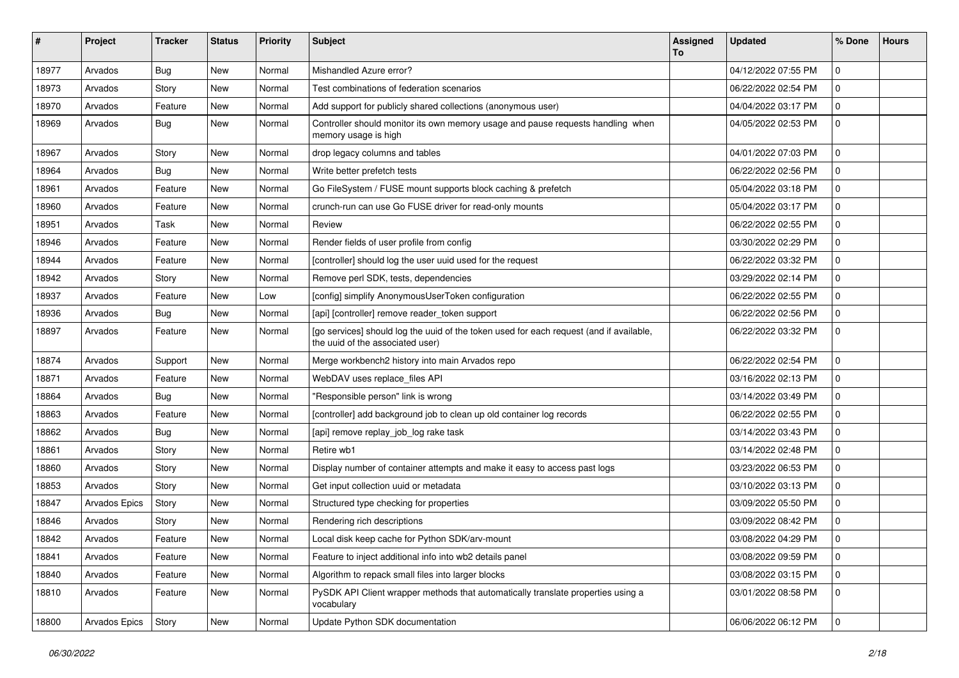| #     | Project       | <b>Tracker</b> | <b>Status</b> | <b>Priority</b> | Subject                                                                                                                     | <b>Assigned</b><br>To | <b>Updated</b>      | % Done      | <b>Hours</b> |
|-------|---------------|----------------|---------------|-----------------|-----------------------------------------------------------------------------------------------------------------------------|-----------------------|---------------------|-------------|--------------|
| 18977 | Arvados       | Bug            | New           | Normal          | Mishandled Azure error?                                                                                                     |                       | 04/12/2022 07:55 PM | $\mathbf 0$ |              |
| 18973 | Arvados       | Story          | New           | Normal          | Test combinations of federation scenarios                                                                                   |                       | 06/22/2022 02:54 PM | $\mathbf 0$ |              |
| 18970 | Arvados       | Feature        | New           | Normal          | Add support for publicly shared collections (anonymous user)                                                                |                       | 04/04/2022 03:17 PM | $\mathbf 0$ |              |
| 18969 | Arvados       | Bug            | New           | Normal          | Controller should monitor its own memory usage and pause requests handling when<br>memory usage is high                     |                       | 04/05/2022 02:53 PM | $\mathbf 0$ |              |
| 18967 | Arvados       | Story          | <b>New</b>    | Normal          | drop legacy columns and tables                                                                                              |                       | 04/01/2022 07:03 PM | $\mathbf 0$ |              |
| 18964 | Arvados       | <b>Bug</b>     | New           | Normal          | Write better prefetch tests                                                                                                 |                       | 06/22/2022 02:56 PM | $\mathbf 0$ |              |
| 18961 | Arvados       | Feature        | New           | Normal          | Go FileSystem / FUSE mount supports block caching & prefetch                                                                |                       | 05/04/2022 03:18 PM | $\mathbf 0$ |              |
| 18960 | Arvados       | Feature        | New           | Normal          | crunch-run can use Go FUSE driver for read-only mounts                                                                      |                       | 05/04/2022 03:17 PM | 0           |              |
| 18951 | Arvados       | Task           | New           | Normal          | Review                                                                                                                      |                       | 06/22/2022 02:55 PM | $\mathbf 0$ |              |
| 18946 | Arvados       | Feature        | New           | Normal          | Render fields of user profile from config                                                                                   |                       | 03/30/2022 02:29 PM | $\mathbf 0$ |              |
| 18944 | Arvados       | Feature        | New           | Normal          | [controller] should log the user uuid used for the request                                                                  |                       | 06/22/2022 03:32 PM | 0           |              |
| 18942 | Arvados       | Story          | New           | Normal          | Remove perl SDK, tests, dependencies                                                                                        |                       | 03/29/2022 02:14 PM | $\mathbf 0$ |              |
| 18937 | Arvados       | Feature        | New           | Low             | [config] simplify AnonymousUserToken configuration                                                                          |                       | 06/22/2022 02:55 PM | $\mathbf 0$ |              |
| 18936 | Arvados       | Bug            | New           | Normal          | [api] [controller] remove reader_token support                                                                              |                       | 06/22/2022 02:56 PM | $\mathbf 0$ |              |
| 18897 | Arvados       | Feature        | New           | Normal          | [go services] should log the uuid of the token used for each request (and if available,<br>the uuid of the associated user) |                       | 06/22/2022 03:32 PM | $\mathbf 0$ |              |
| 18874 | Arvados       | Support        | New           | Normal          | Merge workbench2 history into main Arvados repo                                                                             |                       | 06/22/2022 02:54 PM | $\mathbf 0$ |              |
| 18871 | Arvados       | Feature        | New           | Normal          | WebDAV uses replace_files API                                                                                               |                       | 03/16/2022 02:13 PM | $\mathbf 0$ |              |
| 18864 | Arvados       | Bug            | New           | Normal          | "Responsible person" link is wrong                                                                                          |                       | 03/14/2022 03:49 PM | $\mathbf 0$ |              |
| 18863 | Arvados       | Feature        | New           | Normal          | [controller] add background job to clean up old container log records                                                       |                       | 06/22/2022 02:55 PM | $\mathbf 0$ |              |
| 18862 | Arvados       | Bug            | New           | Normal          | [api] remove replay_job_log rake task                                                                                       |                       | 03/14/2022 03:43 PM | 0           |              |
| 18861 | Arvados       | Story          | <b>New</b>    | Normal          | Retire wb1                                                                                                                  |                       | 03/14/2022 02:48 PM | $\mathbf 0$ |              |
| 18860 | Arvados       | Story          | New           | Normal          | Display number of container attempts and make it easy to access past logs                                                   |                       | 03/23/2022 06:53 PM | $\mathbf 0$ |              |
| 18853 | Arvados       | Story          | New           | Normal          | Get input collection uuid or metadata                                                                                       |                       | 03/10/2022 03:13 PM | $\mathbf 0$ |              |
| 18847 | Arvados Epics | Story          | New           | Normal          | Structured type checking for properties                                                                                     |                       | 03/09/2022 05:50 PM | $\mathbf 0$ |              |
| 18846 | Arvados       | Story          | <b>New</b>    | Normal          | Rendering rich descriptions                                                                                                 |                       | 03/09/2022 08:42 PM | 0           |              |
| 18842 | Arvados       | Feature        | New           | Normal          | Local disk keep cache for Python SDK/arv-mount                                                                              |                       | 03/08/2022 04:29 PM | l O         |              |
| 18841 | Arvados       | Feature        | New           | Normal          | Feature to inject additional info into wb2 details panel                                                                    |                       | 03/08/2022 09:59 PM | 0           |              |
| 18840 | Arvados       | Feature        | New           | Normal          | Algorithm to repack small files into larger blocks                                                                          |                       | 03/08/2022 03:15 PM | $\mathbf 0$ |              |
| 18810 | Arvados       | Feature        | New           | Normal          | PySDK API Client wrapper methods that automatically translate properties using a<br>vocabulary                              |                       | 03/01/2022 08:58 PM | $\mathbf 0$ |              |
| 18800 | Arvados Epics | Story          | New           | Normal          | Update Python SDK documentation                                                                                             |                       | 06/06/2022 06:12 PM | 0           |              |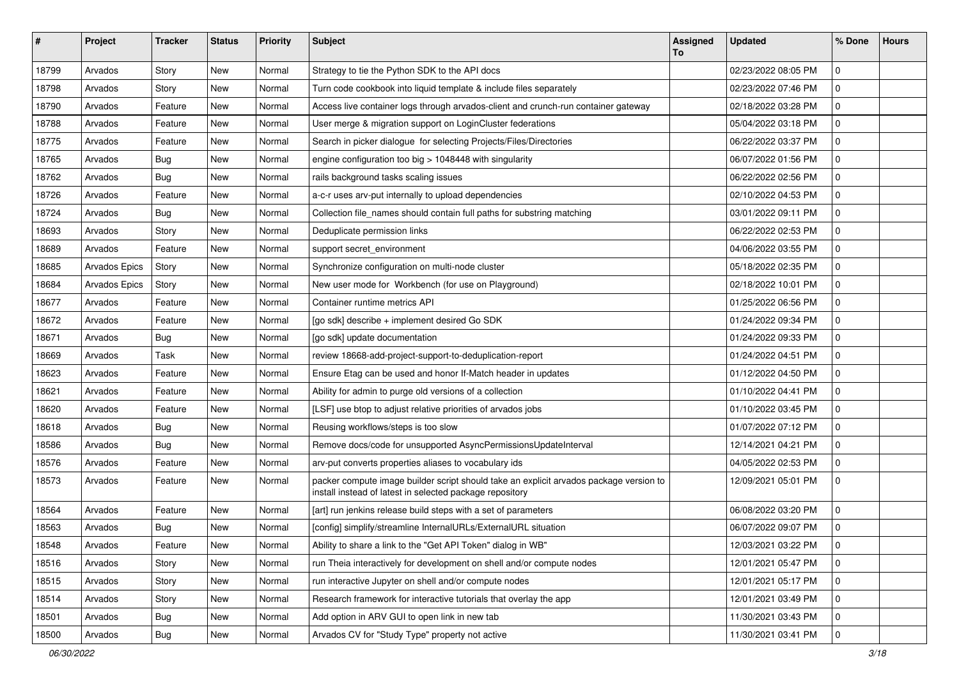| ∦     | Project       | <b>Tracker</b> | <b>Status</b> | <b>Priority</b> | Subject                                                                                                                                            | <b>Assigned</b><br>To | <b>Updated</b>      | % Done         | <b>Hours</b> |
|-------|---------------|----------------|---------------|-----------------|----------------------------------------------------------------------------------------------------------------------------------------------------|-----------------------|---------------------|----------------|--------------|
| 18799 | Arvados       | Story          | New           | Normal          | Strategy to tie the Python SDK to the API docs                                                                                                     |                       | 02/23/2022 08:05 PM | $\mathbf 0$    |              |
| 18798 | Arvados       | Story          | <b>New</b>    | Normal          | Turn code cookbook into liquid template & include files separately                                                                                 |                       | 02/23/2022 07:46 PM | $\mathbf 0$    |              |
| 18790 | Arvados       | Feature        | New           | Normal          | Access live container logs through arvados-client and crunch-run container gateway                                                                 |                       | 02/18/2022 03:28 PM | $\mathbf 0$    |              |
| 18788 | Arvados       | Feature        | <b>New</b>    | Normal          | User merge & migration support on LoginCluster federations                                                                                         |                       | 05/04/2022 03:18 PM | 0              |              |
| 18775 | Arvados       | Feature        | New           | Normal          | Search in picker dialogue for selecting Projects/Files/Directories                                                                                 |                       | 06/22/2022 03:37 PM | $\mathbf 0$    |              |
| 18765 | Arvados       | Bug            | <b>New</b>    | Normal          | engine configuration too big > 1048448 with singularity                                                                                            |                       | 06/07/2022 01:56 PM | $\mathbf 0$    |              |
| 18762 | Arvados       | Bug            | New           | Normal          | rails background tasks scaling issues                                                                                                              |                       | 06/22/2022 02:56 PM | 0              |              |
| 18726 | Arvados       | Feature        | <b>New</b>    | Normal          | a-c-r uses arv-put internally to upload dependencies                                                                                               |                       | 02/10/2022 04:53 PM | $\mathbf 0$    |              |
| 18724 | Arvados       | Bug            | New           | Normal          | Collection file_names should contain full paths for substring matching                                                                             |                       | 03/01/2022 09:11 PM | 0              |              |
| 18693 | Arvados       | Story          | <b>New</b>    | Normal          | Deduplicate permission links                                                                                                                       |                       | 06/22/2022 02:53 PM | $\mathbf 0$    |              |
| 18689 | Arvados       | Feature        | New           | Normal          | support secret_environment                                                                                                                         |                       | 04/06/2022 03:55 PM | $\mathbf 0$    |              |
| 18685 | Arvados Epics | Story          | New           | Normal          | Synchronize configuration on multi-node cluster                                                                                                    |                       | 05/18/2022 02:35 PM | $\mathbf 0$    |              |
| 18684 | Arvados Epics | Story          | New           | Normal          | New user mode for Workbench (for use on Playground)                                                                                                |                       | 02/18/2022 10:01 PM | $\mathbf 0$    |              |
| 18677 | Arvados       | Feature        | New           | Normal          | Container runtime metrics API                                                                                                                      |                       | 01/25/2022 06:56 PM | $\mathbf 0$    |              |
| 18672 | Arvados       | Feature        | <b>New</b>    | Normal          | [go sdk] describe + implement desired Go SDK                                                                                                       |                       | 01/24/2022 09:34 PM | $\mathbf 0$    |              |
| 18671 | Arvados       | <b>Bug</b>     | New           | Normal          | [go sdk] update documentation                                                                                                                      |                       | 01/24/2022 09:33 PM | $\mathbf 0$    |              |
| 18669 | Arvados       | Task           | <b>New</b>    | Normal          | review 18668-add-project-support-to-deduplication-report                                                                                           |                       | 01/24/2022 04:51 PM | $\mathbf 0$    |              |
| 18623 | Arvados       | Feature        | New           | Normal          | Ensure Etag can be used and honor If-Match header in updates                                                                                       |                       | 01/12/2022 04:50 PM | $\mathbf 0$    |              |
| 18621 | Arvados       | Feature        | New           | Normal          | Ability for admin to purge old versions of a collection                                                                                            |                       | 01/10/2022 04:41 PM | $\mathbf 0$    |              |
| 18620 | Arvados       | Feature        | New           | Normal          | [LSF] use btop to adjust relative priorities of arvados jobs                                                                                       |                       | 01/10/2022 03:45 PM | 0              |              |
| 18618 | Arvados       | Bug            | New           | Normal          | Reusing workflows/steps is too slow                                                                                                                |                       | 01/07/2022 07:12 PM | $\mathbf 0$    |              |
| 18586 | Arvados       | Bug            | New           | Normal          | Remove docs/code for unsupported AsyncPermissionsUpdateInterval                                                                                    |                       | 12/14/2021 04:21 PM | $\mathbf 0$    |              |
| 18576 | Arvados       | Feature        | New           | Normal          | arv-put converts properties aliases to vocabulary ids                                                                                              |                       | 04/05/2022 02:53 PM | $\mathbf 0$    |              |
| 18573 | Arvados       | Feature        | <b>New</b>    | Normal          | packer compute image builder script should take an explicit arvados package version to<br>install instead of latest in selected package repository |                       | 12/09/2021 05:01 PM | $\mathbf 0$    |              |
| 18564 | Arvados       | Feature        | <b>New</b>    | Normal          | [art] run jenkins release build steps with a set of parameters                                                                                     |                       | 06/08/2022 03:20 PM | $\Omega$       |              |
| 18563 | Arvados       | <b>Bug</b>     | New           | Normal          | [config] simplify/streamline InternalURLs/ExternalURL situation                                                                                    |                       | 06/07/2022 09:07 PM | $\mathbf 0$    |              |
| 18548 | Arvados       | Feature        | New           | Normal          | Ability to share a link to the "Get API Token" dialog in WB"                                                                                       |                       | 12/03/2021 03:22 PM | $\overline{0}$ |              |
| 18516 | Arvados       | Story          | New           | Normal          | run Theia interactively for development on shell and/or compute nodes                                                                              |                       | 12/01/2021 05:47 PM | $\mathbf 0$    |              |
| 18515 | Arvados       | Story          | New           | Normal          | run interactive Jupyter on shell and/or compute nodes                                                                                              |                       | 12/01/2021 05:17 PM | 0              |              |
| 18514 | Arvados       | Story          | New           | Normal          | Research framework for interactive tutorials that overlay the app                                                                                  |                       | 12/01/2021 03:49 PM | $\mathbf 0$    |              |
| 18501 | Arvados       | <b>Bug</b>     | New           | Normal          | Add option in ARV GUI to open link in new tab                                                                                                      |                       | 11/30/2021 03:43 PM | 0              |              |
| 18500 | Arvados       | <b>Bug</b>     | New           | Normal          | Arvados CV for "Study Type" property not active                                                                                                    |                       | 11/30/2021 03:41 PM | 0              |              |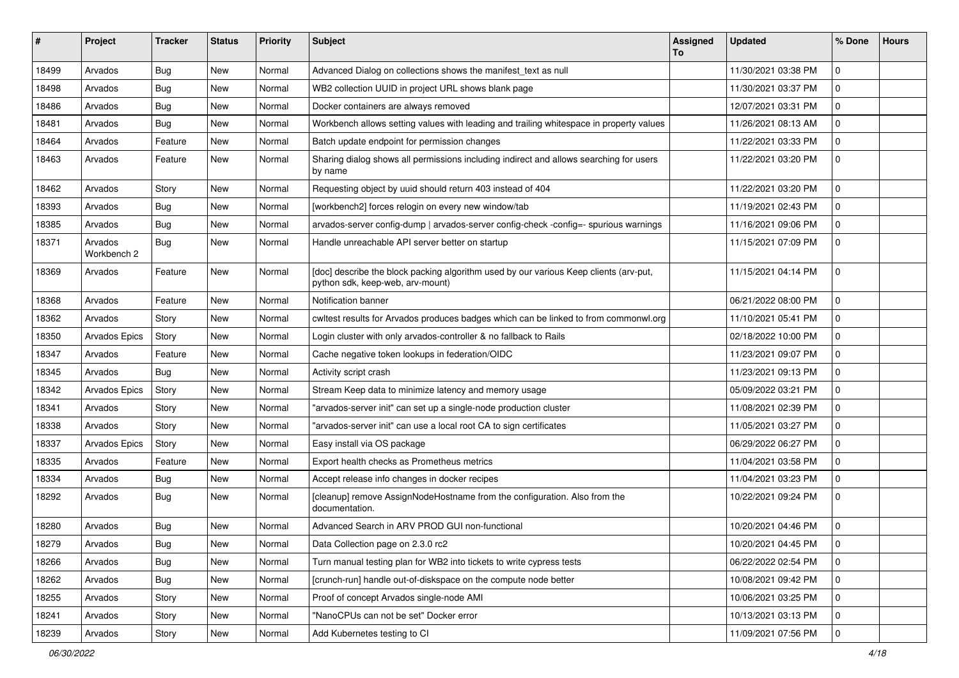| #     | Project                | <b>Tracker</b> | <b>Status</b> | <b>Priority</b> | <b>Subject</b>                                                                                                            | Assigned<br>To | <b>Updated</b>      | % Done      | <b>Hours</b> |
|-------|------------------------|----------------|---------------|-----------------|---------------------------------------------------------------------------------------------------------------------------|----------------|---------------------|-------------|--------------|
| 18499 | Arvados                | Bug            | New           | Normal          | Advanced Dialog on collections shows the manifest_text as null                                                            |                | 11/30/2021 03:38 PM | $\mathbf 0$ |              |
| 18498 | Arvados                | Bug            | New           | Normal          | WB2 collection UUID in project URL shows blank page                                                                       |                | 11/30/2021 03:37 PM | $\mathbf 0$ |              |
| 18486 | Arvados                | Bug            | New           | Normal          | Docker containers are always removed                                                                                      |                | 12/07/2021 03:31 PM | $\mathbf 0$ |              |
| 18481 | Arvados                | Bug            | New           | Normal          | Workbench allows setting values with leading and trailing whitespace in property values                                   |                | 11/26/2021 08:13 AM | $\mathbf 0$ |              |
| 18464 | Arvados                | Feature        | New           | Normal          | Batch update endpoint for permission changes                                                                              |                | 11/22/2021 03:33 PM | $\mathbf 0$ |              |
| 18463 | Arvados                | Feature        | New           | Normal          | Sharing dialog shows all permissions including indirect and allows searching for users<br>by name                         |                | 11/22/2021 03:20 PM | $\mathbf 0$ |              |
| 18462 | Arvados                | Story          | New           | Normal          | Requesting object by uuid should return 403 instead of 404                                                                |                | 11/22/2021 03:20 PM | $\mathbf 0$ |              |
| 18393 | Arvados                | <b>Bug</b>     | New           | Normal          | [workbench2] forces relogin on every new window/tab                                                                       |                | 11/19/2021 02:43 PM | $\mathbf 0$ |              |
| 18385 | Arvados                | Bug            | New           | Normal          | arvados-server config-dump   arvados-server config-check -config=- spurious warnings                                      |                | 11/16/2021 09:06 PM | $\mathbf 0$ |              |
| 18371 | Arvados<br>Workbench 2 | Bug            | New           | Normal          | Handle unreachable API server better on startup                                                                           |                | 11/15/2021 07:09 PM | $\mathbf 0$ |              |
| 18369 | Arvados                | Feature        | New           | Normal          | [doc] describe the block packing algorithm used by our various Keep clients (arv-put,<br>python sdk, keep-web, arv-mount) |                | 11/15/2021 04:14 PM | $\mathbf 0$ |              |
| 18368 | Arvados                | Feature        | New           | Normal          | Notification banner                                                                                                       |                | 06/21/2022 08:00 PM | $\mathbf 0$ |              |
| 18362 | Arvados                | Story          | New           | Normal          | cwltest results for Arvados produces badges which can be linked to from commonwl.org                                      |                | 11/10/2021 05:41 PM | $\mathbf 0$ |              |
| 18350 | <b>Arvados Epics</b>   | Story          | New           | Normal          | Login cluster with only arvados-controller & no fallback to Rails                                                         |                | 02/18/2022 10:00 PM | $\mathbf 0$ |              |
| 18347 | Arvados                | Feature        | New           | Normal          | Cache negative token lookups in federation/OIDC                                                                           |                | 11/23/2021 09:07 PM | $\mathbf 0$ |              |
| 18345 | Arvados                | Bug            | New           | Normal          | Activity script crash                                                                                                     |                | 11/23/2021 09:13 PM | $\mathbf 0$ |              |
| 18342 | <b>Arvados Epics</b>   | Story          | New           | Normal          | Stream Keep data to minimize latency and memory usage                                                                     |                | 05/09/2022 03:21 PM | $\mathbf 0$ |              |
| 18341 | Arvados                | Story          | New           | Normal          | "arvados-server init" can set up a single-node production cluster                                                         |                | 11/08/2021 02:39 PM | $\mathbf 0$ |              |
| 18338 | Arvados                | Story          | New           | Normal          | "arvados-server init" can use a local root CA to sign certificates                                                        |                | 11/05/2021 03:27 PM | $\mathbf 0$ |              |
| 18337 | <b>Arvados Epics</b>   | Story          | New           | Normal          | Easy install via OS package                                                                                               |                | 06/29/2022 06:27 PM | $\mathbf 0$ |              |
| 18335 | Arvados                | Feature        | New           | Normal          | Export health checks as Prometheus metrics                                                                                |                | 11/04/2021 03:58 PM | $\mathbf 0$ |              |
| 18334 | Arvados                | Bug            | <b>New</b>    | Normal          | Accept release info changes in docker recipes                                                                             |                | 11/04/2021 03:23 PM | $\mathbf 0$ |              |
| 18292 | Arvados                | Bug            | New           | Normal          | [cleanup] remove AssignNodeHostname from the configuration. Also from the<br>documentation.                               |                | 10/22/2021 09:24 PM | $\mathbf 0$ |              |
| 18280 | Arvados                | Bug            | New           | Normal          | Advanced Search in ARV PROD GUI non-functional                                                                            |                | 10/20/2021 04:46 PM | $\mathbf 0$ |              |
| 18279 | Arvados                | <b>Bug</b>     | New           | Normal          | Data Collection page on 2.3.0 rc2                                                                                         |                | 10/20/2021 04:45 PM | l 0         |              |
| 18266 | Arvados                | Bug            | New           | Normal          | Turn manual testing plan for WB2 into tickets to write cypress tests                                                      |                | 06/22/2022 02:54 PM | $\mathbf 0$ |              |
| 18262 | Arvados                | <b>Bug</b>     | New           | Normal          | [crunch-run] handle out-of-diskspace on the compute node better                                                           |                | 10/08/2021 09:42 PM | $\mathbf 0$ |              |
| 18255 | Arvados                | Story          | New           | Normal          | Proof of concept Arvados single-node AMI                                                                                  |                | 10/06/2021 03:25 PM | $\mathbf 0$ |              |
| 18241 | Arvados                | Story          | New           | Normal          | "NanoCPUs can not be set" Docker error                                                                                    |                | 10/13/2021 03:13 PM | $\mathbf 0$ |              |
| 18239 | Arvados                | Story          | New           | Normal          | Add Kubernetes testing to CI                                                                                              |                | 11/09/2021 07:56 PM | $\mathbf 0$ |              |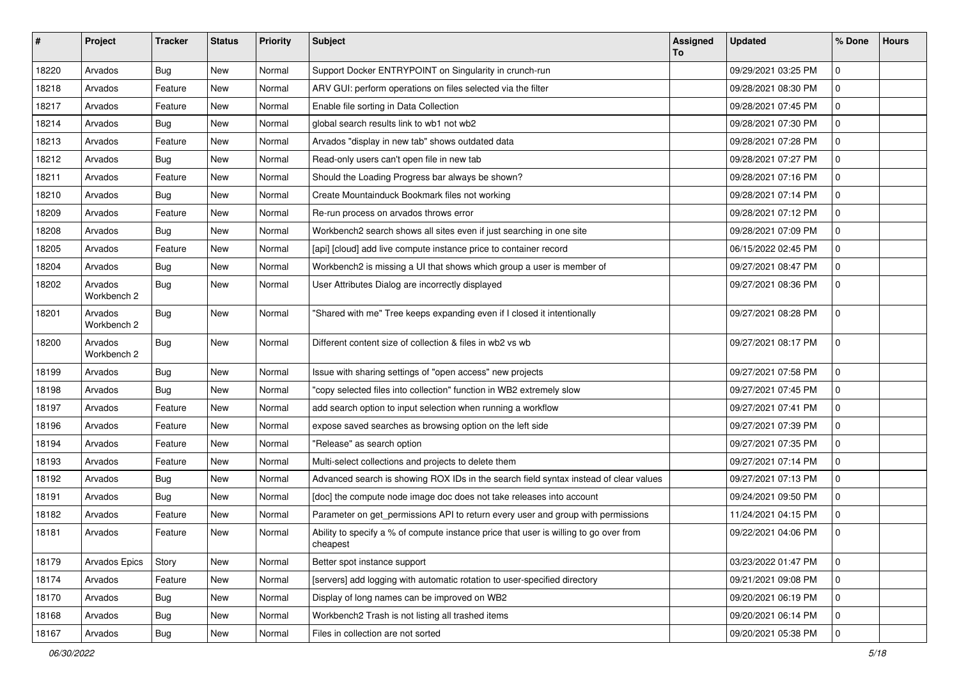| $\vert$ # | Project                | <b>Tracker</b> | <b>Status</b> | <b>Priority</b> | Subject                                                                                           | <b>Assigned</b><br>To | <b>Updated</b>      | % Done      | <b>Hours</b> |
|-----------|------------------------|----------------|---------------|-----------------|---------------------------------------------------------------------------------------------------|-----------------------|---------------------|-------------|--------------|
| 18220     | Arvados                | Bug            | New           | Normal          | Support Docker ENTRYPOINT on Singularity in crunch-run                                            |                       | 09/29/2021 03:25 PM | $\mathbf 0$ |              |
| 18218     | Arvados                | Feature        | New           | Normal          | ARV GUI: perform operations on files selected via the filter                                      |                       | 09/28/2021 08:30 PM | 0           |              |
| 18217     | Arvados                | Feature        | New           | Normal          | Enable file sorting in Data Collection                                                            |                       | 09/28/2021 07:45 PM | $\mathbf 0$ |              |
| 18214     | Arvados                | Bug            | New           | Normal          | global search results link to wb1 not wb2                                                         |                       | 09/28/2021 07:30 PM | 0           |              |
| 18213     | Arvados                | Feature        | New           | Normal          | Arvados "display in new tab" shows outdated data                                                  |                       | 09/28/2021 07:28 PM | $\mathbf 0$ |              |
| 18212     | Arvados                | Bug            | New           | Normal          | Read-only users can't open file in new tab                                                        |                       | 09/28/2021 07:27 PM | $\mathbf 0$ |              |
| 18211     | Arvados                | Feature        | New           | Normal          | Should the Loading Progress bar always be shown?                                                  |                       | 09/28/2021 07:16 PM | 0           |              |
| 18210     | Arvados                | <b>Bug</b>     | New           | Normal          | Create Mountainduck Bookmark files not working                                                    |                       | 09/28/2021 07:14 PM | $\mathbf 0$ |              |
| 18209     | Arvados                | Feature        | New           | Normal          | Re-run process on arvados throws error                                                            |                       | 09/28/2021 07:12 PM | 0           |              |
| 18208     | Arvados                | <b>Bug</b>     | New           | Normal          | Workbench2 search shows all sites even if just searching in one site                              |                       | 09/28/2021 07:09 PM | $\mathbf 0$ |              |
| 18205     | Arvados                | Feature        | New           | Normal          | [api] [cloud] add live compute instance price to container record                                 |                       | 06/15/2022 02:45 PM | $\mathbf 0$ |              |
| 18204     | Arvados                | Bug            | New           | Normal          | Workbench2 is missing a UI that shows which group a user is member of                             |                       | 09/27/2021 08:47 PM | 0           |              |
| 18202     | Arvados<br>Workbench 2 | <b>Bug</b>     | New           | Normal          | User Attributes Dialog are incorrectly displayed                                                  |                       | 09/27/2021 08:36 PM | $\mathbf 0$ |              |
| 18201     | Arvados<br>Workbench 2 | Bug            | New           | Normal          | "Shared with me" Tree keeps expanding even if I closed it intentionally                           |                       | 09/27/2021 08:28 PM | 0           |              |
| 18200     | Arvados<br>Workbench 2 | <b>Bug</b>     | New           | Normal          | Different content size of collection & files in wb2 vs wb                                         |                       | 09/27/2021 08:17 PM | 0           |              |
| 18199     | Arvados                | Bug            | New           | Normal          | Issue with sharing settings of "open access" new projects                                         |                       | 09/27/2021 07:58 PM | $\mathbf 0$ |              |
| 18198     | Arvados                | Bug            | New           | Normal          | "copy selected files into collection" function in WB2 extremely slow                              |                       | 09/27/2021 07:45 PM | 0           |              |
| 18197     | Arvados                | Feature        | New           | Normal          | add search option to input selection when running a workflow                                      |                       | 09/27/2021 07:41 PM | $\mathbf 0$ |              |
| 18196     | Arvados                | Feature        | <b>New</b>    | Normal          | expose saved searches as browsing option on the left side                                         |                       | 09/27/2021 07:39 PM | $\mathbf 0$ |              |
| 18194     | Arvados                | Feature        | New           | Normal          | "Release" as search option                                                                        |                       | 09/27/2021 07:35 PM | 0           |              |
| 18193     | Arvados                | Feature        | New           | Normal          | Multi-select collections and projects to delete them                                              |                       | 09/27/2021 07:14 PM | $\mathbf 0$ |              |
| 18192     | Arvados                | <b>Bug</b>     | New           | Normal          | Advanced search is showing ROX IDs in the search field syntax instead of clear values             |                       | 09/27/2021 07:13 PM | 0           |              |
| 18191     | Arvados                | <b>Bug</b>     | New           | Normal          | [doc] the compute node image doc does not take releases into account                              |                       | 09/24/2021 09:50 PM | $\mathbf 0$ |              |
| 18182     | Arvados                | Feature        | New           | Normal          | Parameter on get_permissions API to return every user and group with permissions                  |                       | 11/24/2021 04:15 PM | $\mathbf 0$ |              |
| 18181     | Arvados                | Feature        | New           | Normal          | Ability to specify a % of compute instance price that user is willing to go over from<br>cheapest |                       | 09/22/2021 04:06 PM | 0           |              |
| 18179     | Arvados Epics          | Story          | New           | Normal          | Better spot instance support                                                                      |                       | 03/23/2022 01:47 PM | 0           |              |
| 18174     | Arvados                | Feature        | New           | Normal          | [servers] add logging with automatic rotation to user-specified directory                         |                       | 09/21/2021 09:08 PM | 0           |              |
| 18170     | Arvados                | <b>Bug</b>     | New           | Normal          | Display of long names can be improved on WB2                                                      |                       | 09/20/2021 06:19 PM | 0           |              |
| 18168     | Arvados                | Bug            | New           | Normal          | Workbench2 Trash is not listing all trashed items                                                 |                       | 09/20/2021 06:14 PM | 0           |              |
| 18167     | Arvados                | <b>Bug</b>     | New           | Normal          | Files in collection are not sorted                                                                |                       | 09/20/2021 05:38 PM | 0           |              |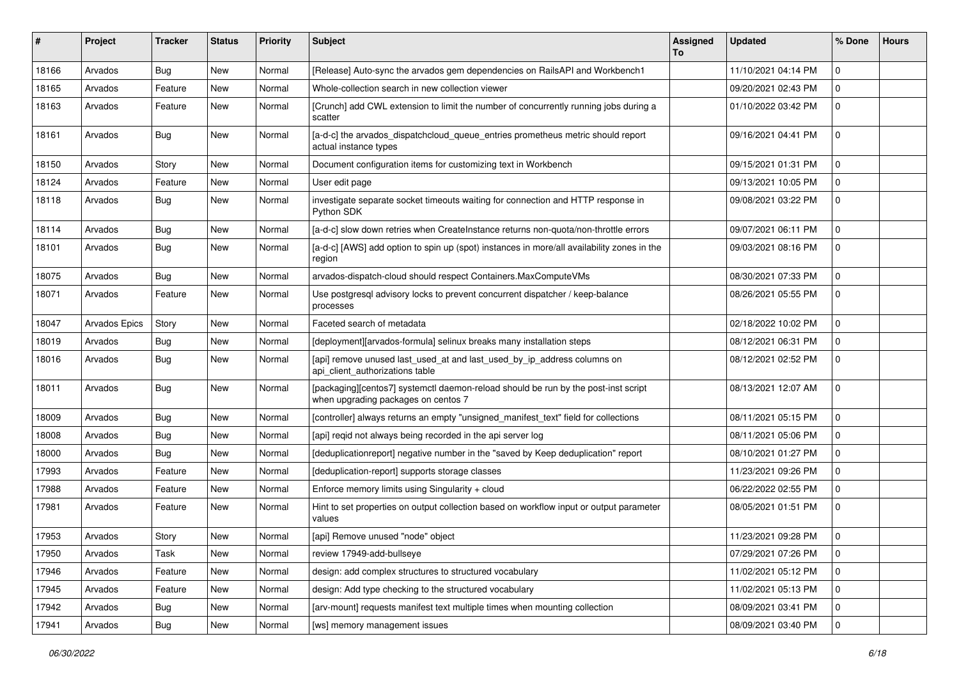| ∦     | Project       | Tracker    | <b>Status</b> | <b>Priority</b> | <b>Subject</b>                                                                                                            | Assigned<br>To | <b>Updated</b>      | % Done         | <b>Hours</b> |
|-------|---------------|------------|---------------|-----------------|---------------------------------------------------------------------------------------------------------------------------|----------------|---------------------|----------------|--------------|
| 18166 | Arvados       | Bug        | New           | Normal          | [Release] Auto-sync the arvados gem dependencies on RailsAPI and Workbench1                                               |                | 11/10/2021 04:14 PM | $\mathbf 0$    |              |
| 18165 | Arvados       | Feature    | New           | Normal          | Whole-collection search in new collection viewer                                                                          |                | 09/20/2021 02:43 PM | $\mathbf 0$    |              |
| 18163 | Arvados       | Feature    | New           | Normal          | [Crunch] add CWL extension to limit the number of concurrently running jobs during a<br>scatter                           |                | 01/10/2022 03:42 PM | $\mathbf 0$    |              |
| 18161 | Arvados       | Bug        | <b>New</b>    | Normal          | [a-d-c] the arvados_dispatchcloud_queue_entries prometheus metric should report<br>actual instance types                  |                | 09/16/2021 04:41 PM | $\Omega$       |              |
| 18150 | Arvados       | Story      | New           | Normal          | Document configuration items for customizing text in Workbench                                                            |                | 09/15/2021 01:31 PM | $\mathbf 0$    |              |
| 18124 | Arvados       | Feature    | New           | Normal          | User edit page                                                                                                            |                | 09/13/2021 10:05 PM | $\mathbf 0$    |              |
| 18118 | Arvados       | Bug        | New           | Normal          | investigate separate socket timeouts waiting for connection and HTTP response in<br>Python SDK                            |                | 09/08/2021 03:22 PM | $\mathbf 0$    |              |
| 18114 | Arvados       | <b>Bug</b> | New           | Normal          | [a-d-c] slow down retries when CreateInstance returns non-quota/non-throttle errors                                       |                | 09/07/2021 06:11 PM | $\mathbf{0}$   |              |
| 18101 | Arvados       | Bug        | New           | Normal          | [a-d-c] [AWS] add option to spin up (spot) instances in more/all availability zones in the<br>region                      |                | 09/03/2021 08:16 PM | $\mathbf 0$    |              |
| 18075 | Arvados       | Bug        | New           | Normal          | arvados-dispatch-cloud should respect Containers.MaxComputeVMs                                                            |                | 08/30/2021 07:33 PM | $\mathbf 0$    |              |
| 18071 | Arvados       | Feature    | New           | Normal          | Use postgresql advisory locks to prevent concurrent dispatcher / keep-balance<br>processes                                |                | 08/26/2021 05:55 PM | $\mathbf 0$    |              |
| 18047 | Arvados Epics | Story      | New           | Normal          | Faceted search of metadata                                                                                                |                | 02/18/2022 10:02 PM | $\Omega$       |              |
| 18019 | Arvados       | Bug        | New           | Normal          | Ideployment][arvados-formula] selinux breaks many installation steps                                                      |                | 08/12/2021 06:31 PM | $\mathbf 0$    |              |
| 18016 | Arvados       | Bug        | New           | Normal          | [api] remove unused last_used_at and last_used_by_ip_address columns on<br>api_client_authorizations table                |                | 08/12/2021 02:52 PM | $\mathbf 0$    |              |
| 18011 | Arvados       | Bug        | New           | Normal          | [packaging][centos7] systemctl daemon-reload should be run by the post-inst script<br>when upgrading packages on centos 7 |                | 08/13/2021 12:07 AM | $\mathbf 0$    |              |
| 18009 | Arvados       | Bug        | <b>New</b>    | Normal          | [controller] always returns an empty "unsigned_manifest_text" field for collections                                       |                | 08/11/2021 05:15 PM | $\mathbf 0$    |              |
| 18008 | Arvados       | <b>Bug</b> | New           | Normal          | [api] reqid not always being recorded in the api server log                                                               |                | 08/11/2021 05:06 PM | $\mathbf 0$    |              |
| 18000 | Arvados       | Bug        | New           | Normal          | [deduplicationreport] negative number in the "saved by Keep deduplication" report                                         |                | 08/10/2021 01:27 PM | $\mathbf 0$    |              |
| 17993 | Arvados       | Feature    | New           | Normal          | [deduplication-report] supports storage classes                                                                           |                | 11/23/2021 09:26 PM | $\mathbf 0$    |              |
| 17988 | Arvados       | Feature    | New           | Normal          | Enforce memory limits using Singularity + cloud                                                                           |                | 06/22/2022 02:55 PM | $\mathbf{0}$   |              |
| 17981 | Arvados       | Feature    | New           | Normal          | Hint to set properties on output collection based on workflow input or output parameter<br>values                         |                | 08/05/2021 01:51 PM | $\mathbf 0$    |              |
| 17953 | Arvados       | Story      | New           | Normal          | [api] Remove unused "node" object                                                                                         |                | 11/23/2021 09:28 PM | $\mathbf 0$    |              |
| 17950 | Arvados       | Task       | New           | Normal          | review 17949-add-bullseye                                                                                                 |                | 07/29/2021 07:26 PM | $\mathbf 0$    |              |
| 17946 | Arvados       | Feature    | New           | Normal          | design: add complex structures to structured vocabulary                                                                   |                | 11/02/2021 05:12 PM | $\mathbf 0$    |              |
| 17945 | Arvados       | Feature    | New           | Normal          | design: Add type checking to the structured vocabulary                                                                    |                | 11/02/2021 05:13 PM | $\mathbf 0$    |              |
| 17942 | Arvados       | Bug        | New           | Normal          | [arv-mount] requests manifest text multiple times when mounting collection                                                |                | 08/09/2021 03:41 PM | 0              |              |
| 17941 | Arvados       | Bug        | New           | Normal          | [ws] memory management issues                                                                                             |                | 08/09/2021 03:40 PM | $\overline{0}$ |              |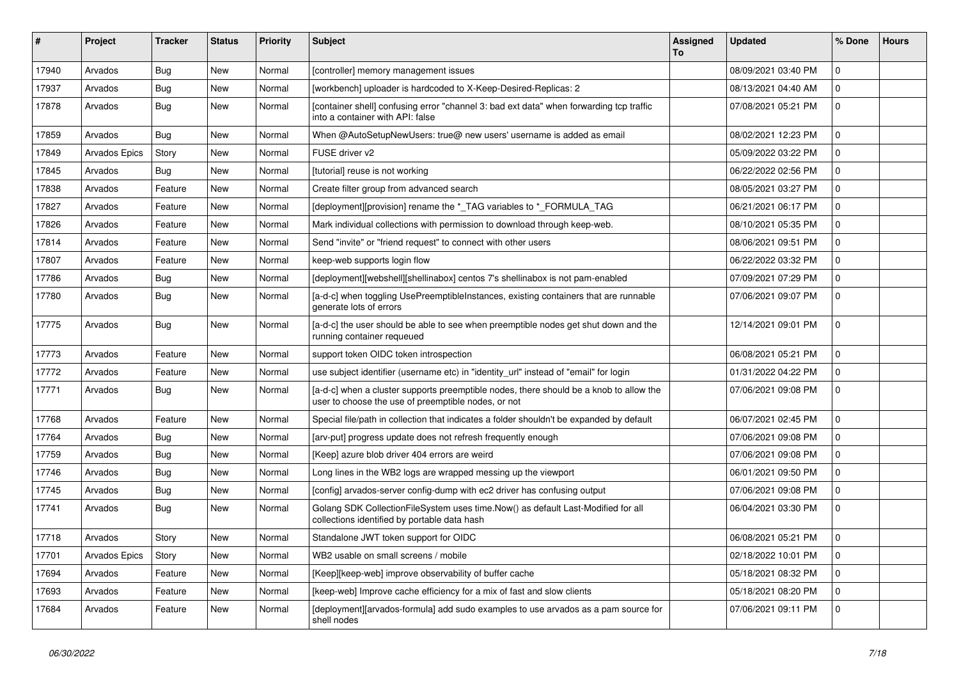| ∦     | Project              | <b>Tracker</b> | <b>Status</b> | <b>Priority</b> | Subject                                                                                                                                       | Assigned<br>To | <b>Updated</b>      | % Done              | <b>Hours</b> |
|-------|----------------------|----------------|---------------|-----------------|-----------------------------------------------------------------------------------------------------------------------------------------------|----------------|---------------------|---------------------|--------------|
| 17940 | Arvados              | Bug            | New           | Normal          | [controller] memory management issues                                                                                                         |                | 08/09/2021 03:40 PM | $\mathbf 0$         |              |
| 17937 | Arvados              | <b>Bug</b>     | New           | Normal          | [workbench] uploader is hardcoded to X-Keep-Desired-Replicas: 2                                                                               |                | 08/13/2021 04:40 AM | $\mathbf 0$         |              |
| 17878 | Arvados              | Bug            | New           | Normal          | [container shell] confusing error "channel 3: bad ext data" when forwarding tcp traffic<br>into a container with API: false                   |                | 07/08/2021 05:21 PM | $\mathbf 0$         |              |
| 17859 | Arvados              | Bug            | New           | Normal          | When @AutoSetupNewUsers: true@ new users' username is added as email                                                                          |                | 08/02/2021 12:23 PM | $\mathbf 0$         |              |
| 17849 | <b>Arvados Epics</b> | Story          | New           | Normal          | FUSE driver v2                                                                                                                                |                | 05/09/2022 03:22 PM | $\mathbf 0$         |              |
| 17845 | Arvados              | Bug            | New           | Normal          | [tutorial] reuse is not working                                                                                                               |                | 06/22/2022 02:56 PM | $\mathbf 0$         |              |
| 17838 | Arvados              | Feature        | New           | Normal          | Create filter group from advanced search                                                                                                      |                | 08/05/2021 03:27 PM | $\mathbf 0$         |              |
| 17827 | Arvados              | Feature        | New           | Normal          | [deployment][provision] rename the *_TAG variables to *_FORMULA_TAG                                                                           |                | 06/21/2021 06:17 PM | $\mathbf 0$         |              |
| 17826 | Arvados              | Feature        | New           | Normal          | Mark individual collections with permission to download through keep-web.                                                                     |                | 08/10/2021 05:35 PM | $\mathbf 0$         |              |
| 17814 | Arvados              | Feature        | New           | Normal          | Send "invite" or "friend request" to connect with other users                                                                                 |                | 08/06/2021 09:51 PM | $\mathbf 0$         |              |
| 17807 | Arvados              | Feature        | New           | Normal          | keep-web supports login flow                                                                                                                  |                | 06/22/2022 03:32 PM | $\mathbf 0$         |              |
| 17786 | Arvados              | Bug            | New           | Normal          | [deployment][webshell][shellinabox] centos 7's shellinabox is not pam-enabled                                                                 |                | 07/09/2021 07:29 PM | $\mathbf 0$         |              |
| 17780 | Arvados              | <b>Bug</b>     | New           | Normal          | [a-d-c] when toggling UsePreemptibleInstances, existing containers that are runnable<br>generate lots of errors                               |                | 07/06/2021 09:07 PM | $\mathbf 0$         |              |
| 17775 | Arvados              | Bug            | New           | Normal          | [a-d-c] the user should be able to see when preemptible nodes get shut down and the<br>running container requeued                             |                | 12/14/2021 09:01 PM | $\mathbf 0$         |              |
| 17773 | Arvados              | Feature        | <b>New</b>    | Normal          | support token OIDC token introspection                                                                                                        |                | 06/08/2021 05:21 PM | $\mathbf 0$         |              |
| 17772 | Arvados              | Feature        | New           | Normal          | use subject identifier (username etc) in "identity_url" instead of "email" for login                                                          |                | 01/31/2022 04:22 PM | $\mathbf 0$         |              |
| 17771 | Arvados              | Bug            | New           | Normal          | [a-d-c] when a cluster supports preemptible nodes, there should be a knob to allow the<br>user to choose the use of preemptible nodes, or not |                | 07/06/2021 09:08 PM | $\mathbf 0$         |              |
| 17768 | Arvados              | Feature        | <b>New</b>    | Normal          | Special file/path in collection that indicates a folder shouldn't be expanded by default                                                      |                | 06/07/2021 02:45 PM | $\mathbf{0}$        |              |
| 17764 | Arvados              | Bug            | New           | Normal          | [arv-put] progress update does not refresh frequently enough                                                                                  |                | 07/06/2021 09:08 PM | $\mathbf 0$         |              |
| 17759 | Arvados              | Bug            | New           | Normal          | [Keep] azure blob driver 404 errors are weird                                                                                                 |                | 07/06/2021 09:08 PM | $\mathbf 0$         |              |
| 17746 | Arvados              | <b>Bug</b>     | New           | Normal          | Long lines in the WB2 logs are wrapped messing up the viewport                                                                                |                | 06/01/2021 09:50 PM | 0                   |              |
| 17745 | Arvados              | <b>Bug</b>     | New           | Normal          | [config] arvados-server config-dump with ec2 driver has confusing output                                                                      |                | 07/06/2021 09:08 PM | $\mathbf 0$         |              |
| 17741 | Arvados              | Bug            | New           | Normal          | Golang SDK CollectionFileSystem uses time.Now() as default Last-Modified for all<br>collections identified by portable data hash              |                | 06/04/2021 03:30 PM | $\mathbf 0$         |              |
| 17718 | Arvados              | Story          | New           | Normal          | Standalone JWT token support for OIDC                                                                                                         |                | 06/08/2021 05:21 PM | $\Omega$            |              |
| 17701 | Arvados Epics        | Story          | New           | Normal          | WB2 usable on small screens / mobile                                                                                                          |                | 02/18/2022 10:01 PM | $\mathbf 0$         |              |
| 17694 | Arvados              | Feature        | New           | Normal          | [Keep][keep-web] improve observability of buffer cache                                                                                        |                | 05/18/2021 08:32 PM | $\mathbf 0$         |              |
| 17693 | Arvados              | Feature        | New           | Normal          | [keep-web] Improve cache efficiency for a mix of fast and slow clients                                                                        |                | 05/18/2021 08:20 PM | $\mathbf 0$         |              |
| 17684 | Arvados              | Feature        | New           | Normal          | [deployment][arvados-formula] add sudo examples to use arvados as a pam source for<br>shell nodes                                             |                | 07/06/2021 09:11 PM | $\mathsf{O}\xspace$ |              |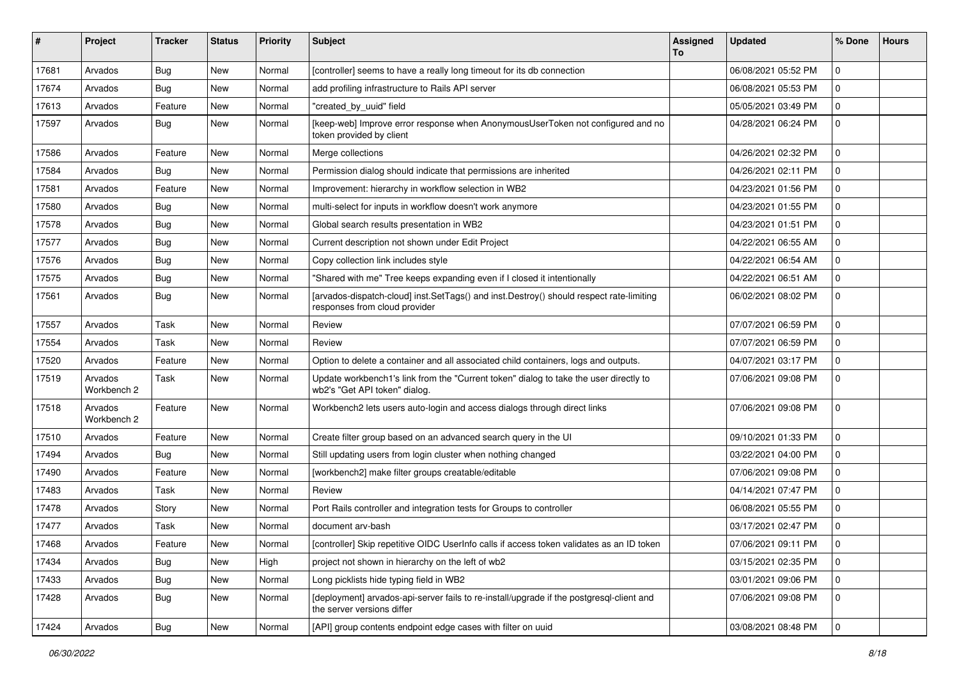| #     | Project                | <b>Tracker</b> | <b>Status</b> | <b>Priority</b> | Subject                                                                                                                  | Assigned<br>To | <b>Updated</b>      | % Done      | <b>Hours</b> |
|-------|------------------------|----------------|---------------|-----------------|--------------------------------------------------------------------------------------------------------------------------|----------------|---------------------|-------------|--------------|
| 17681 | Arvados                | Bug            | New           | Normal          | [controller] seems to have a really long timeout for its db connection                                                   |                | 06/08/2021 05:52 PM | $\mathbf 0$ |              |
| 17674 | Arvados                | Bug            | New           | Normal          | add profiling infrastructure to Rails API server                                                                         |                | 06/08/2021 05:53 PM | $\mathbf 0$ |              |
| 17613 | Arvados                | Feature        | New           | Normal          | "created_by_uuid" field                                                                                                  |                | 05/05/2021 03:49 PM | $\mathbf 0$ |              |
| 17597 | Arvados                | Bug            | <b>New</b>    | Normal          | [keep-web] Improve error response when AnonymousUserToken not configured and no<br>token provided by client              |                | 04/28/2021 06:24 PM | $\mathbf 0$ |              |
| 17586 | Arvados                | Feature        | New           | Normal          | Merge collections                                                                                                        |                | 04/26/2021 02:32 PM | $\mathbf 0$ |              |
| 17584 | Arvados                | Bug            | New           | Normal          | Permission dialog should indicate that permissions are inherited                                                         |                | 04/26/2021 02:11 PM | 0           |              |
| 17581 | Arvados                | Feature        | New           | Normal          | Improvement: hierarchy in workflow selection in WB2                                                                      |                | 04/23/2021 01:56 PM | $\Omega$    |              |
| 17580 | Arvados                | Bug            | New           | Normal          | multi-select for inputs in workflow doesn't work anymore                                                                 |                | 04/23/2021 01:55 PM | $\mathbf 0$ |              |
| 17578 | Arvados                | Bug            | New           | Normal          | Global search results presentation in WB2                                                                                |                | 04/23/2021 01:51 PM | $\mathbf 0$ |              |
| 17577 | Arvados                | Bug            | New           | Normal          | Current description not shown under Edit Project                                                                         |                | 04/22/2021 06:55 AM | $\Omega$    |              |
| 17576 | Arvados                | Bug            | New           | Normal          | Copy collection link includes style                                                                                      |                | 04/22/2021 06:54 AM | $\mathbf 0$ |              |
| 17575 | Arvados                | Bug            | New           | Normal          | "Shared with me" Tree keeps expanding even if I closed it intentionally                                                  |                | 04/22/2021 06:51 AM | $\Omega$    |              |
| 17561 | Arvados                | Bug            | New           | Normal          | [arvados-dispatch-cloud] inst.SetTags() and inst.Destroy() should respect rate-limiting<br>responses from cloud provider |                | 06/02/2021 08:02 PM | $\mathbf 0$ |              |
| 17557 | Arvados                | Task           | New           | Normal          | Review                                                                                                                   |                | 07/07/2021 06:59 PM | $\mathbf 0$ |              |
| 17554 | Arvados                | Task           | <b>New</b>    | Normal          | Review                                                                                                                   |                | 07/07/2021 06:59 PM | $\mathbf 0$ |              |
| 17520 | Arvados                | Feature        | New           | Normal          | Option to delete a container and all associated child containers, logs and outputs.                                      |                | 04/07/2021 03:17 PM | $\mathbf 0$ |              |
| 17519 | Arvados<br>Workbench 2 | Task           | New           | Normal          | Update workbench1's link from the "Current token" dialog to take the user directly to<br>wb2's "Get API token" dialog.   |                | 07/06/2021 09:08 PM | $\Omega$    |              |
| 17518 | Arvados<br>Workbench 2 | Feature        | New           | Normal          | Workbench2 lets users auto-login and access dialogs through direct links                                                 |                | 07/06/2021 09:08 PM | $\Omega$    |              |
| 17510 | Arvados                | Feature        | New           | Normal          | Create filter group based on an advanced search query in the UI                                                          |                | 09/10/2021 01:33 PM | 0           |              |
| 17494 | Arvados                | Bug            | New           | Normal          | Still updating users from login cluster when nothing changed                                                             |                | 03/22/2021 04:00 PM | $\mathbf 0$ |              |
| 17490 | Arvados                | Feature        | <b>New</b>    | Normal          | [workbench2] make filter groups creatable/editable                                                                       |                | 07/06/2021 09:08 PM | $\mathbf 0$ |              |
| 17483 | Arvados                | Task           | New           | Normal          | Review                                                                                                                   |                | 04/14/2021 07:47 PM | $\mathbf 0$ |              |
| 17478 | Arvados                | Story          | <b>New</b>    | Normal          | Port Rails controller and integration tests for Groups to controller                                                     |                | 06/08/2021 05:55 PM | $\mathbf 0$ |              |
| 17477 | Arvados                | Task           | New           | Normal          | document arv-bash                                                                                                        |                | 03/17/2021 02:47 PM | 0           |              |
| 17468 | Arvados                | Feature        | New           | Normal          | [controller] Skip repetitive OIDC UserInfo calls if access token validates as an ID token                                |                | 07/06/2021 09:11 PM | 0           |              |
| 17434 | Arvados                | Bug            | New           | High            | project not shown in hierarchy on the left of wb2                                                                        |                | 03/15/2021 02:35 PM | 0           |              |
| 17433 | Arvados                | Bug            | New           | Normal          | Long picklists hide typing field in WB2                                                                                  |                | 03/01/2021 09:06 PM | $\mathbf 0$ |              |
| 17428 | Arvados                | Bug            | New           | Normal          | [deployment] arvados-api-server fails to re-install/upgrade if the postgresql-client and<br>the server versions differ   |                | 07/06/2021 09:08 PM | 0           |              |
| 17424 | Arvados                | <b>Bug</b>     | New           | Normal          | [API] group contents endpoint edge cases with filter on uuid                                                             |                | 03/08/2021 08:48 PM | 0           |              |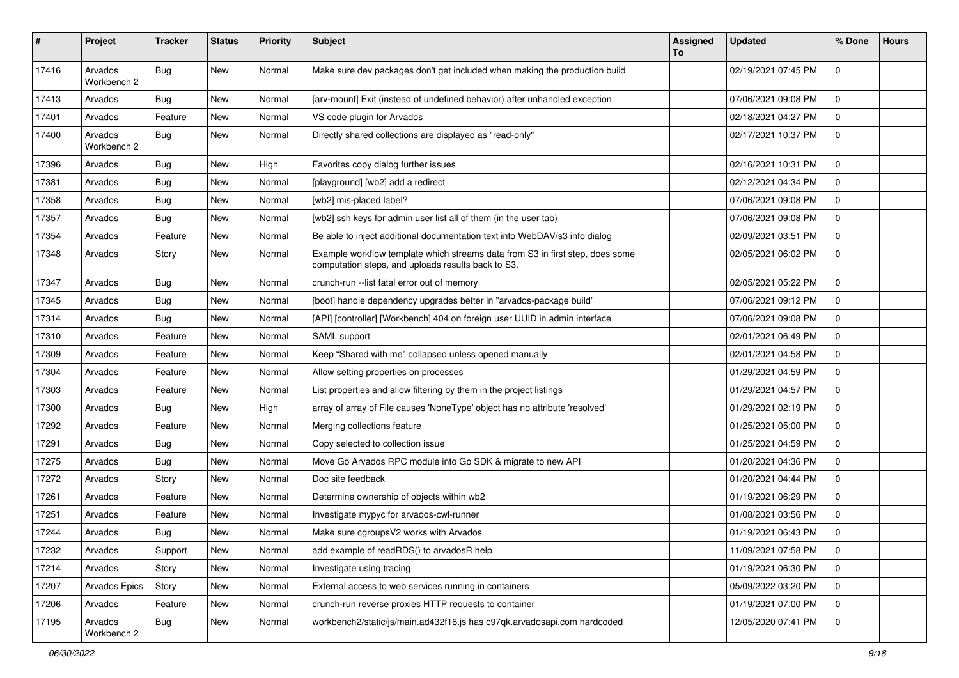| #     | Project                | <b>Tracker</b> | <b>Status</b> | <b>Priority</b> | <b>Subject</b>                                                                                                                      | <b>Assigned</b><br>To | <b>Updated</b>      | % Done      | <b>Hours</b> |
|-------|------------------------|----------------|---------------|-----------------|-------------------------------------------------------------------------------------------------------------------------------------|-----------------------|---------------------|-------------|--------------|
| 17416 | Arvados<br>Workbench 2 | <b>Bug</b>     | <b>New</b>    | Normal          | Make sure dev packages don't get included when making the production build                                                          |                       | 02/19/2021 07:45 PM | $\mathbf 0$ |              |
| 17413 | Arvados                | Bug            | New           | Normal          | [arv-mount] Exit (instead of undefined behavior) after unhandled exception                                                          |                       | 07/06/2021 09:08 PM | $\mathbf 0$ |              |
| 17401 | Arvados                | Feature        | <b>New</b>    | Normal          | VS code plugin for Arvados                                                                                                          |                       | 02/18/2021 04:27 PM | 0           |              |
| 17400 | Arvados<br>Workbench 2 | <b>Bug</b>     | New           | Normal          | Directly shared collections are displayed as "read-only"                                                                            |                       | 02/17/2021 10:37 PM | $\mathbf 0$ |              |
| 17396 | Arvados                | Bug            | New           | High            | Favorites copy dialog further issues                                                                                                |                       | 02/16/2021 10:31 PM | $\mathbf 0$ |              |
| 17381 | Arvados                | Bug            | New           | Normal          | [playground] [wb2] add a redirect                                                                                                   |                       | 02/12/2021 04:34 PM | $\mathbf 0$ |              |
| 17358 | Arvados                | Bug            | New           | Normal          | [wb2] mis-placed label?                                                                                                             |                       | 07/06/2021 09:08 PM | $\mathbf 0$ |              |
| 17357 | Arvados                | Bug            | New           | Normal          | [wb2] ssh keys for admin user list all of them (in the user tab)                                                                    |                       | 07/06/2021 09:08 PM | $\mathbf 0$ |              |
| 17354 | Arvados                | Feature        | New           | Normal          | Be able to inject additional documentation text into WebDAV/s3 info dialog                                                          |                       | 02/09/2021 03:51 PM | l 0         |              |
| 17348 | Arvados                | Story          | <b>New</b>    | Normal          | Example workflow template which streams data from S3 in first step, does some<br>computation steps, and uploads results back to S3. |                       | 02/05/2021 06:02 PM | $\mathbf 0$ |              |
| 17347 | Arvados                | Bug            | New           | Normal          | crunch-run -- list fatal error out of memory                                                                                        |                       | 02/05/2021 05:22 PM | l 0         |              |
| 17345 | Arvados                | Bug            | New           | Normal          | [boot] handle dependency upgrades better in "arvados-package build"                                                                 |                       | 07/06/2021 09:12 PM | $\mathbf 0$ |              |
| 17314 | Arvados                | Bug            | New           | Normal          | [API] [controller] [Workbench] 404 on foreign user UUID in admin interface                                                          |                       | 07/06/2021 09:08 PM | $\mathbf 0$ |              |
| 17310 | Arvados                | Feature        | <b>New</b>    | Normal          | SAML support                                                                                                                        |                       | 02/01/2021 06:49 PM | $\mathbf 0$ |              |
| 17309 | Arvados                | Feature        | New           | Normal          | Keep "Shared with me" collapsed unless opened manually                                                                              |                       | 02/01/2021 04:58 PM | $\mathbf 0$ |              |
| 17304 | Arvados                | Feature        | New           | Normal          | Allow setting properties on processes                                                                                               |                       | 01/29/2021 04:59 PM | $\mathbf 0$ |              |
| 17303 | Arvados                | Feature        | New           | Normal          | List properties and allow filtering by them in the project listings                                                                 |                       | 01/29/2021 04:57 PM | $\mathbf 0$ |              |
| 17300 | Arvados                | Bug            | New           | High            | array of array of File causes 'NoneType' object has no attribute 'resolved'                                                         |                       | 01/29/2021 02:19 PM | $\mathbf 0$ |              |
| 17292 | Arvados                | Feature        | New           | Normal          | Merging collections feature                                                                                                         |                       | 01/25/2021 05:00 PM | $\mathbf 0$ |              |
| 17291 | Arvados                | Bug            | New           | Normal          | Copy selected to collection issue                                                                                                   |                       | 01/25/2021 04:59 PM | $\mathbf 0$ |              |
| 17275 | Arvados                | Bug            | New           | Normal          | Move Go Arvados RPC module into Go SDK & migrate to new API                                                                         |                       | 01/20/2021 04:36 PM | $\mathbf 0$ |              |
| 17272 | Arvados                | Story          | <b>New</b>    | Normal          | Doc site feedback                                                                                                                   |                       | 01/20/2021 04:44 PM | $\mathbf 0$ |              |
| 17261 | Arvados                | Feature        | New           | Normal          | Determine ownership of objects within wb2                                                                                           |                       | 01/19/2021 06:29 PM | $\mathbf 0$ |              |
| 17251 | Arvados                | Feature        | New           | Normal          | Investigate mypyc for arvados-cwl-runner                                                                                            |                       | 01/08/2021 03:56 PM | $\mathbf 0$ |              |
| 17244 | Arvados                | <b>Bug</b>     | New           | Normal          | Make sure cgroupsV2 works with Arvados                                                                                              |                       | 01/19/2021 06:43 PM | $\mathbf 0$ |              |
| 17232 | Arvados                | Support        | New           | Normal          | add example of readRDS() to arvadosR help                                                                                           |                       | 11/09/2021 07:58 PM | l 0         |              |
| 17214 | Arvados                | Story          | <b>New</b>    | Normal          | Investigate using tracing                                                                                                           |                       | 01/19/2021 06:30 PM | $\mathbf 0$ |              |
| 17207 | Arvados Epics          | Story          | New           | Normal          | External access to web services running in containers                                                                               |                       | 05/09/2022 03:20 PM | $\mathbf 0$ |              |
| 17206 | Arvados                | Feature        | New           | Normal          | crunch-run reverse proxies HTTP requests to container                                                                               |                       | 01/19/2021 07:00 PM | l 0         |              |
| 17195 | Arvados<br>Workbench 2 | <b>Bug</b>     | New           | Normal          | workbench2/static/js/main.ad432f16.js has c97qk.arvadosapi.com hardcoded                                                            |                       | 12/05/2020 07:41 PM | 0           |              |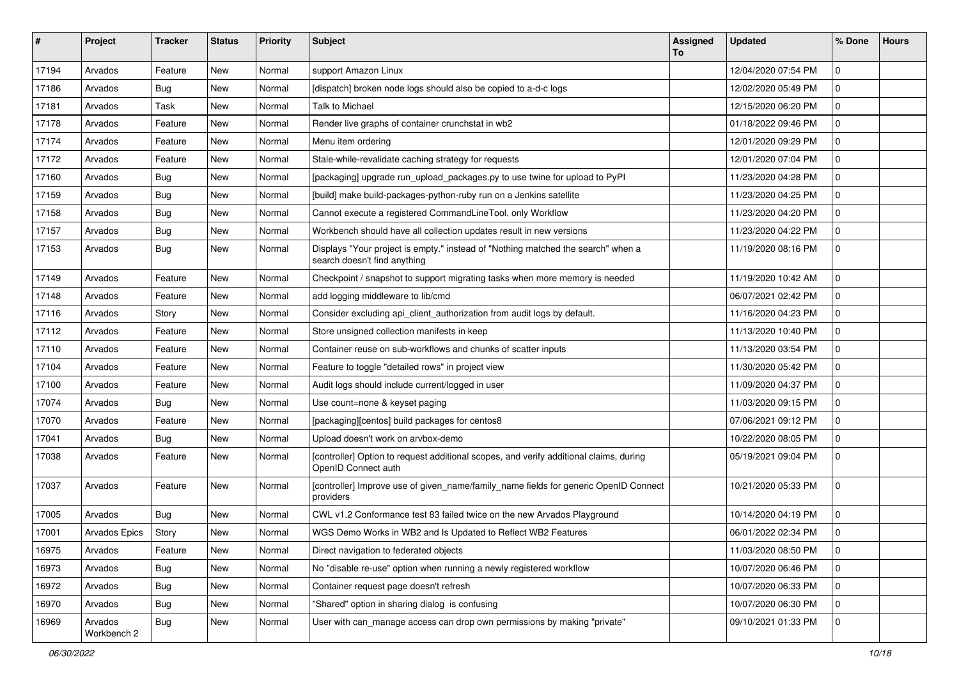| #     | Project                | <b>Tracker</b> | <b>Status</b> | <b>Priority</b> | <b>Subject</b>                                                                                                   | <b>Assigned</b><br>To | <b>Updated</b>      | % Done       | <b>Hours</b> |
|-------|------------------------|----------------|---------------|-----------------|------------------------------------------------------------------------------------------------------------------|-----------------------|---------------------|--------------|--------------|
| 17194 | Arvados                | Feature        | New           | Normal          | support Amazon Linux                                                                                             |                       | 12/04/2020 07:54 PM | $\mathbf 0$  |              |
| 17186 | Arvados                | Bug            | New           | Normal          | [dispatch] broken node logs should also be copied to a-d-c logs                                                  |                       | 12/02/2020 05:49 PM | $\mathbf 0$  |              |
| 17181 | Arvados                | Task           | New           | Normal          | Talk to Michael                                                                                                  |                       | 12/15/2020 06:20 PM | $\mathbf 0$  |              |
| 17178 | Arvados                | Feature        | New           | Normal          | Render live graphs of container crunchstat in wb2                                                                |                       | 01/18/2022 09:46 PM | 0            |              |
| 17174 | Arvados                | Feature        | New           | Normal          | Menu item ordering                                                                                               |                       | 12/01/2020 09:29 PM | $\mathbf 0$  |              |
| 17172 | Arvados                | Feature        | <b>New</b>    | Normal          | Stale-while-revalidate caching strategy for requests                                                             |                       | 12/01/2020 07:04 PM | $\mathbf 0$  |              |
| 17160 | Arvados                | <b>Bug</b>     | New           | Normal          | [packaging] upgrade run upload packages.py to use twine for upload to PyPI                                       |                       | 11/23/2020 04:28 PM | $\mathbf 0$  |              |
| 17159 | Arvados                | Bug            | New           | Normal          | [build] make build-packages-python-ruby run on a Jenkins satellite                                               |                       | 11/23/2020 04:25 PM | $\mathbf 0$  |              |
| 17158 | Arvados                | Bug            | New           | Normal          | Cannot execute a registered CommandLineTool, only Workflow                                                       |                       | 11/23/2020 04:20 PM | $\mathbf 0$  |              |
| 17157 | Arvados                | <b>Bug</b>     | New           | Normal          | Workbench should have all collection updates result in new versions                                              |                       | 11/23/2020 04:22 PM | $\mathbf 0$  |              |
| 17153 | Arvados                | Bug            | New           | Normal          | Displays "Your project is empty." instead of "Nothing matched the search" when a<br>search doesn't find anything |                       | 11/19/2020 08:16 PM | $\mathbf 0$  |              |
| 17149 | Arvados                | Feature        | New           | Normal          | Checkpoint / snapshot to support migrating tasks when more memory is needed                                      |                       | 11/19/2020 10:42 AM | $\mathbf 0$  |              |
| 17148 | Arvados                | Feature        | <b>New</b>    | Normal          | add logging middleware to lib/cmd                                                                                |                       | 06/07/2021 02:42 PM | $\mathbf 0$  |              |
| 17116 | Arvados                | Story          | New           | Normal          | Consider excluding api client authorization from audit logs by default.                                          |                       | 11/16/2020 04:23 PM | $\mathbf 0$  |              |
| 17112 | Arvados                | Feature        | New           | Normal          | Store unsigned collection manifests in keep                                                                      |                       | 11/13/2020 10:40 PM | $\mathbf 0$  |              |
| 17110 | Arvados                | Feature        | New           | Normal          | Container reuse on sub-workflows and chunks of scatter inputs                                                    |                       | 11/13/2020 03:54 PM | $\mathbf 0$  |              |
| 17104 | Arvados                | Feature        | New           | Normal          | Feature to toggle "detailed rows" in project view                                                                |                       | 11/30/2020 05:42 PM | $\mathbf 0$  |              |
| 17100 | Arvados                | Feature        | New           | Normal          | Audit logs should include current/logged in user                                                                 |                       | 11/09/2020 04:37 PM | $\mathbf{0}$ |              |
| 17074 | Arvados                | Bug            | New           | Normal          | Use count=none & keyset paging                                                                                   |                       | 11/03/2020 09:15 PM | $\mathbf 0$  |              |
| 17070 | Arvados                | Feature        | New           | Normal          | [packaging][centos] build packages for centos8                                                                   |                       | 07/06/2021 09:12 PM | $\mathbf{0}$ |              |
| 17041 | Arvados                | Bug            | New           | Normal          | Upload doesn't work on arvbox-demo                                                                               |                       | 10/22/2020 08:05 PM | 0            |              |
| 17038 | Arvados                | Feature        | New           | Normal          | [controller] Option to request additional scopes, and verify additional claims, during<br>OpenID Connect auth    |                       | 05/19/2021 09:04 PM | $\mathbf 0$  |              |
| 17037 | Arvados                | Feature        | New           | Normal          | [controller] Improve use of given_name/family_name fields for generic OpenID Connect<br>providers                |                       | 10/21/2020 05:33 PM | $\mathbf{0}$ |              |
| 17005 | Arvados                | Bug            | New           | Normal          | CWL v1.2 Conformance test 83 failed twice on the new Arvados Playground                                          |                       | 10/14/2020 04:19 PM | $\mathbf 0$  |              |
| 17001 | Arvados Epics          | Story          | New           | Normal          | WGS Demo Works in WB2 and Is Updated to Reflect WB2 Features                                                     |                       | 06/01/2022 02:34 PM | $\mathbf 0$  |              |
| 16975 | Arvados                | Feature        | New           | Normal          | Direct navigation to federated objects                                                                           |                       | 11/03/2020 08:50 PM | 0            |              |
| 16973 | Arvados                | Bug            | New           | Normal          | No "disable re-use" option when running a newly registered workflow                                              |                       | 10/07/2020 06:46 PM | $\mathbf 0$  |              |
| 16972 | Arvados                | <b>Bug</b>     | New           | Normal          | Container request page doesn't refresh                                                                           |                       | 10/07/2020 06:33 PM | $\mathbf 0$  |              |
| 16970 | Arvados                | Bug            | New           | Normal          | "Shared" option in sharing dialog is confusing                                                                   |                       | 10/07/2020 06:30 PM | $\mathbf 0$  |              |
| 16969 | Arvados<br>Workbench 2 | Bug            | New           | Normal          | User with can_manage access can drop own permissions by making "private"                                         |                       | 09/10/2021 01:33 PM | $\mathbf 0$  |              |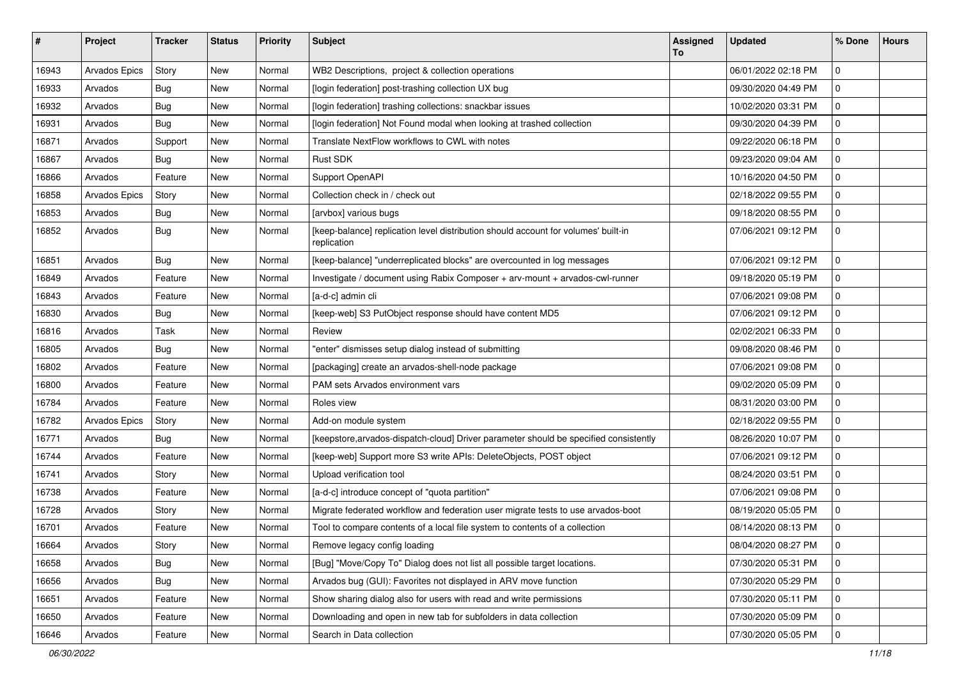| #     | Project       | <b>Tracker</b> | <b>Status</b> | <b>Priority</b> | <b>Subject</b>                                                                                    | <b>Assigned</b><br>To | <b>Updated</b>      | % Done      | <b>Hours</b> |
|-------|---------------|----------------|---------------|-----------------|---------------------------------------------------------------------------------------------------|-----------------------|---------------------|-------------|--------------|
| 16943 | Arvados Epics | Story          | New           | Normal          | WB2 Descriptions, project & collection operations                                                 |                       | 06/01/2022 02:18 PM | $\mathbf 0$ |              |
| 16933 | Arvados       | <b>Bug</b>     | New           | Normal          | [login federation] post-trashing collection UX bug                                                |                       | 09/30/2020 04:49 PM | $\mathbf 0$ |              |
| 16932 | Arvados       | <b>Bug</b>     | New           | Normal          | [login federation] trashing collections: snackbar issues                                          |                       | 10/02/2020 03:31 PM | $\mathbf 0$ |              |
| 16931 | Arvados       | Bug            | New           | Normal          | [login federation] Not Found modal when looking at trashed collection                             |                       | 09/30/2020 04:39 PM | $\mathbf 0$ |              |
| 16871 | Arvados       | Support        | New           | Normal          | Translate NextFlow workflows to CWL with notes                                                    |                       | 09/22/2020 06:18 PM | $\mathbf 0$ |              |
| 16867 | Arvados       | Bug            | New           | Normal          | <b>Rust SDK</b>                                                                                   |                       | 09/23/2020 09:04 AM | $\Omega$    |              |
| 16866 | Arvados       | Feature        | New           | Normal          | Support OpenAPI                                                                                   |                       | 10/16/2020 04:50 PM | $\mathbf 0$ |              |
| 16858 | Arvados Epics | Story          | New           | Normal          | Collection check in / check out                                                                   |                       | 02/18/2022 09:55 PM | $\Omega$    |              |
| 16853 | Arvados       | Bug            | New           | Normal          | [arvbox] various bugs                                                                             |                       | 09/18/2020 08:55 PM | $\mathbf 0$ |              |
| 16852 | Arvados       | Bug            | New           | Normal          | [keep-balance] replication level distribution should account for volumes' built-in<br>replication |                       | 07/06/2021 09:12 PM | $\mathbf 0$ |              |
| 16851 | Arvados       | Bug            | New           | Normal          | [keep-balance] "underreplicated blocks" are overcounted in log messages                           |                       | 07/06/2021 09:12 PM | $\mathbf 0$ |              |
| 16849 | Arvados       | Feature        | New           | Normal          | Investigate / document using Rabix Composer + arv-mount + arvados-cwl-runner                      |                       | 09/18/2020 05:19 PM | $\mathbf 0$ |              |
| 16843 | Arvados       | Feature        | New           | Normal          | [a-d-c] admin cli                                                                                 |                       | 07/06/2021 09:08 PM | $\Omega$    |              |
| 16830 | Arvados       | Bug            | New           | Normal          | [keep-web] S3 PutObject response should have content MD5                                          |                       | 07/06/2021 09:12 PM | $\mathbf 0$ |              |
| 16816 | Arvados       | Task           | New           | Normal          | Review                                                                                            |                       | 02/02/2021 06:33 PM | $\mathbf 0$ |              |
| 16805 | Arvados       | Bug            | New           | Normal          | "enter" dismisses setup dialog instead of submitting                                              |                       | 09/08/2020 08:46 PM | $\mathbf 0$ |              |
| 16802 | Arvados       | Feature        | New           | Normal          | [packaging] create an arvados-shell-node package                                                  |                       | 07/06/2021 09:08 PM | $\mathbf 0$ |              |
| 16800 | Arvados       | Feature        | New           | Normal          | PAM sets Arvados environment vars                                                                 |                       | 09/02/2020 05:09 PM | $\mathbf 0$ |              |
| 16784 | Arvados       | Feature        | New           | Normal          | Roles view                                                                                        |                       | 08/31/2020 03:00 PM | $\mathbf 0$ |              |
| 16782 | Arvados Epics | Story          | New           | Normal          | Add-on module system                                                                              |                       | 02/18/2022 09:55 PM | $\Omega$    |              |
| 16771 | Arvados       | Bug            | New           | Normal          | [keepstore, arvados-dispatch-cloud] Driver parameter should be specified consistently             |                       | 08/26/2020 10:07 PM | $\mathbf 0$ |              |
| 16744 | Arvados       | Feature        | New           | Normal          | [keep-web] Support more S3 write APIs: DeleteObjects, POST object                                 |                       | 07/06/2021 09:12 PM | $\mathbf 0$ |              |
| 16741 | Arvados       | Story          | New           | Normal          | Upload verification tool                                                                          |                       | 08/24/2020 03:51 PM | $\mathbf 0$ |              |
| 16738 | Arvados       | Feature        | New           | Normal          | [a-d-c] introduce concept of "quota partition"                                                    |                       | 07/06/2021 09:08 PM | $\mathbf 0$ |              |
| 16728 | Arvados       | Story          | New           | Normal          | Migrate federated workflow and federation user migrate tests to use arvados-boot                  |                       | 08/19/2020 05:05 PM | $\mathbf 0$ |              |
| 16701 | Arvados       | Feature        | <b>New</b>    | Normal          | Tool to compare contents of a local file system to contents of a collection                       |                       | 08/14/2020 08:13 PM | $\mathbf 0$ |              |
| 16664 | Arvados       | Story          | New           | Normal          | Remove legacy config loading                                                                      |                       | 08/04/2020 08:27 PM | $ 0\rangle$ |              |
| 16658 | Arvados       | Bug            | New           | Normal          | [Bug] "Move/Copy To" Dialog does not list all possible target locations.                          |                       | 07/30/2020 05:31 PM | $\Omega$    |              |
| 16656 | Arvados       | Bug            | New           | Normal          | Arvados bug (GUI): Favorites not displayed in ARV move function                                   |                       | 07/30/2020 05:29 PM | 0           |              |
| 16651 | Arvados       | Feature        | New           | Normal          | Show sharing dialog also for users with read and write permissions                                |                       | 07/30/2020 05:11 PM | $\mathbf 0$ |              |
| 16650 | Arvados       | Feature        | New           | Normal          | Downloading and open in new tab for subfolders in data collection                                 |                       | 07/30/2020 05:09 PM | 0           |              |
| 16646 | Arvados       | Feature        | New           | Normal          | Search in Data collection                                                                         |                       | 07/30/2020 05:05 PM | 0           |              |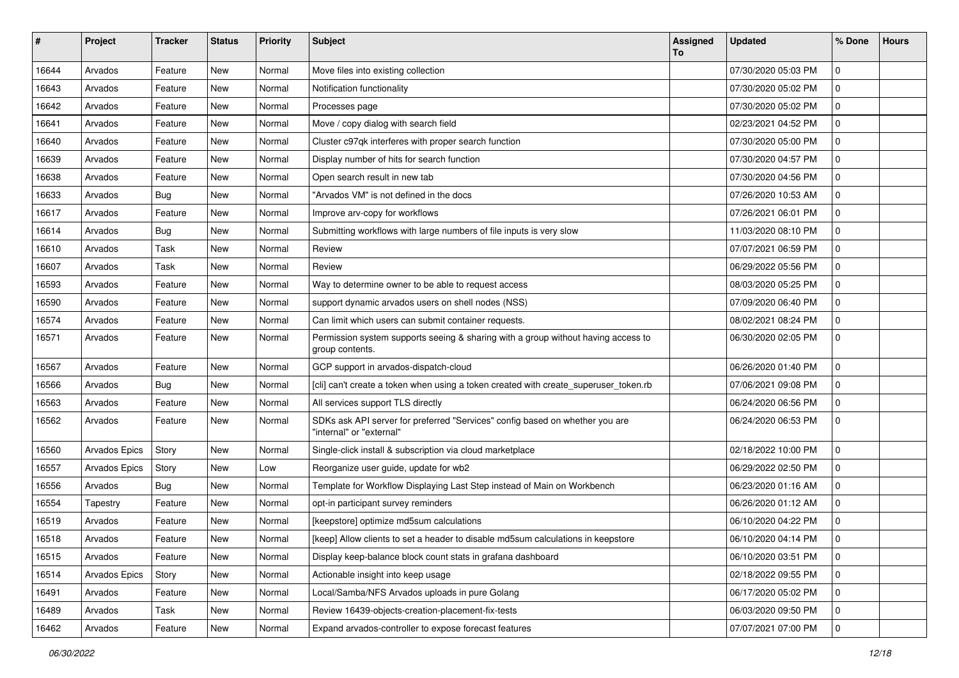| #     | Project       | <b>Tracker</b> | <b>Status</b> | <b>Priority</b> | <b>Subject</b>                                                                                           | Assigned<br>To | <b>Updated</b>      | % Done       | <b>Hours</b> |
|-------|---------------|----------------|---------------|-----------------|----------------------------------------------------------------------------------------------------------|----------------|---------------------|--------------|--------------|
| 16644 | Arvados       | Feature        | New           | Normal          | Move files into existing collection                                                                      |                | 07/30/2020 05:03 PM | $\mathbf 0$  |              |
| 16643 | Arvados       | Feature        | <b>New</b>    | Normal          | Notification functionality                                                                               |                | 07/30/2020 05:02 PM | $\mathbf 0$  |              |
| 16642 | Arvados       | Feature        | New           | Normal          | Processes page                                                                                           |                | 07/30/2020 05:02 PM | $\mathbf 0$  |              |
| 16641 | Arvados       | Feature        | New           | Normal          | Move / copy dialog with search field                                                                     |                | 02/23/2021 04:52 PM | $\mathbf 0$  |              |
| 16640 | Arvados       | Feature        | New           | Normal          | Cluster c97qk interferes with proper search function                                                     |                | 07/30/2020 05:00 PM | $\mathbf 0$  |              |
| 16639 | Arvados       | Feature        | New           | Normal          | Display number of hits for search function                                                               |                | 07/30/2020 04:57 PM | $\mathbf 0$  |              |
| 16638 | Arvados       | Feature        | New           | Normal          | Open search result in new tab                                                                            |                | 07/30/2020 04:56 PM | $\mathbf 0$  |              |
| 16633 | Arvados       | Bug            | New           | Normal          | "Arvados VM" is not defined in the docs                                                                  |                | 07/26/2020 10:53 AM | $\mathbf 0$  |              |
| 16617 | Arvados       | Feature        | New           | Normal          | Improve arv-copy for workflows                                                                           |                | 07/26/2021 06:01 PM | $\mathbf 0$  |              |
| 16614 | Arvados       | Bug            | New           | Normal          | Submitting workflows with large numbers of file inputs is very slow                                      |                | 11/03/2020 08:10 PM | $\mathbf 0$  |              |
| 16610 | Arvados       | Task           | <b>New</b>    | Normal          | Review                                                                                                   |                | 07/07/2021 06:59 PM | $\mathbf 0$  |              |
| 16607 | Arvados       | Task           | New           | Normal          | Review                                                                                                   |                | 06/29/2022 05:56 PM | $\mathbf 0$  |              |
| 16593 | Arvados       | Feature        | New           | Normal          | Way to determine owner to be able to request access                                                      |                | 08/03/2020 05:25 PM | $\mathbf 0$  |              |
| 16590 | Arvados       | Feature        | New           | Normal          | support dynamic arvados users on shell nodes (NSS)                                                       |                | 07/09/2020 06:40 PM | $\mathbf 0$  |              |
| 16574 | Arvados       | Feature        | New           | Normal          | Can limit which users can submit container requests.                                                     |                | 08/02/2021 08:24 PM | $\mathbf 0$  |              |
| 16571 | Arvados       | Feature        | New           | Normal          | Permission system supports seeing & sharing with a group without having access to<br>group contents.     |                | 06/30/2020 02:05 PM | $\mathbf{0}$ |              |
| 16567 | Arvados       | Feature        | New           | Normal          | GCP support in arvados-dispatch-cloud                                                                    |                | 06/26/2020 01:40 PM | $\mathbf{0}$ |              |
| 16566 | Arvados       | Bug            | New           | Normal          | [cli] can't create a token when using a token created with create_superuser_token.rb                     |                | 07/06/2021 09:08 PM | $\mathbf 0$  |              |
| 16563 | Arvados       | Feature        | New           | Normal          | All services support TLS directly                                                                        |                | 06/24/2020 06:56 PM | $\mathbf 0$  |              |
| 16562 | Arvados       | Feature        | New           | Normal          | SDKs ask API server for preferred "Services" config based on whether you are<br>"internal" or "external" |                | 06/24/2020 06:53 PM | $\mathbf 0$  |              |
| 16560 | Arvados Epics | Story          | <b>New</b>    | Normal          | Single-click install & subscription via cloud marketplace                                                |                | 02/18/2022 10:00 PM | $\mathbf 0$  |              |
| 16557 | Arvados Epics | Story          | New           | Low             | Reorganize user guide, update for wb2                                                                    |                | 06/29/2022 02:50 PM | $\mathbf 0$  |              |
| 16556 | Arvados       | Bug            | New           | Normal          | Template for Workflow Displaying Last Step instead of Main on Workbench                                  |                | 06/23/2020 01:16 AM | $\mathbf 0$  |              |
| 16554 | Tapestry      | Feature        | New           | Normal          | opt-in participant survey reminders                                                                      |                | 06/26/2020 01:12 AM | $\mathbf 0$  |              |
| 16519 | Arvados       | Feature        | New           | Normal          | [keepstore] optimize md5sum calculations                                                                 |                | 06/10/2020 04:22 PM | 0            |              |
| 16518 | Arvados       | Feature        | New           | Normal          | [keep] Allow clients to set a header to disable md5sum calculations in keepstore                         |                | 06/10/2020 04:14 PM | $\mathbf 0$  |              |
| 16515 | Arvados       | Feature        | New           | Normal          | Display keep-balance block count stats in grafana dashboard                                              |                | 06/10/2020 03:51 PM | 0            |              |
| 16514 | Arvados Epics | Story          | New           | Normal          | Actionable insight into keep usage                                                                       |                | 02/18/2022 09:55 PM | $\mathbf 0$  |              |
| 16491 | Arvados       | Feature        | New           | Normal          | Local/Samba/NFS Arvados uploads in pure Golang                                                           |                | 06/17/2020 05:02 PM | $\mathbf 0$  |              |
| 16489 | Arvados       | Task           | New           | Normal          | Review 16439-objects-creation-placement-fix-tests                                                        |                | 06/03/2020 09:50 PM | 0            |              |
| 16462 | Arvados       | Feature        | New           | Normal          | Expand arvados-controller to expose forecast features                                                    |                | 07/07/2021 07:00 PM | 0            |              |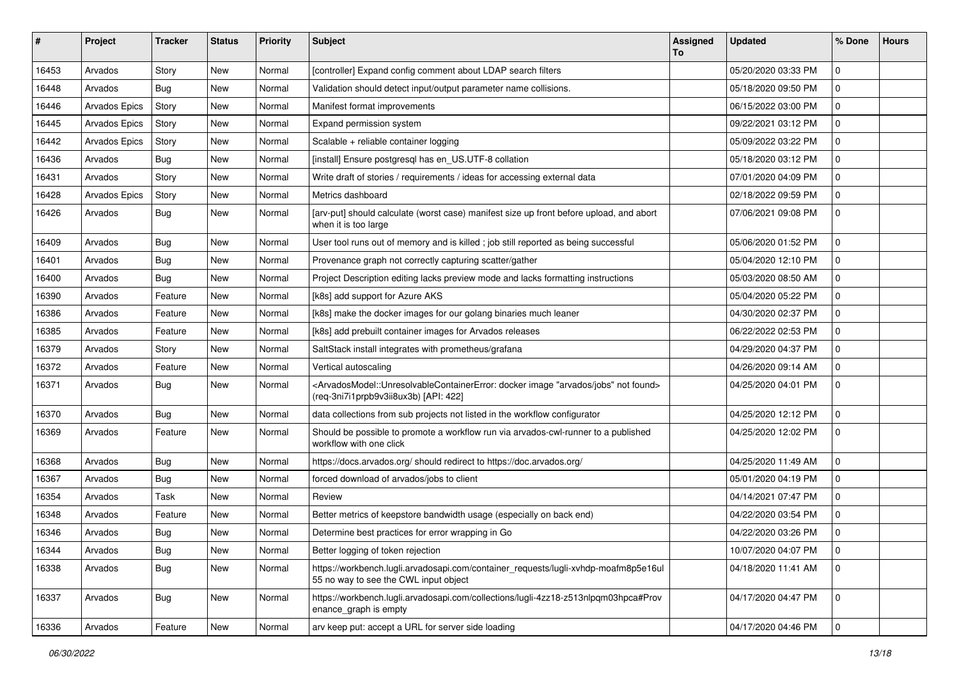| #     | Project       | <b>Tracker</b> | <b>Status</b> | <b>Priority</b> | Subject                                                                                                                                                                                   | <b>Assigned</b><br>To | <b>Updated</b>      | % Done              | <b>Hours</b> |
|-------|---------------|----------------|---------------|-----------------|-------------------------------------------------------------------------------------------------------------------------------------------------------------------------------------------|-----------------------|---------------------|---------------------|--------------|
| 16453 | Arvados       | Story          | <b>New</b>    | Normal          | [controller] Expand config comment about LDAP search filters                                                                                                                              |                       | 05/20/2020 03:33 PM | $\mathbf 0$         |              |
| 16448 | Arvados       | Bug            | <b>New</b>    | Normal          | Validation should detect input/output parameter name collisions.                                                                                                                          |                       | 05/18/2020 09:50 PM | $\mathbf 0$         |              |
| 16446 | Arvados Epics | Story          | New           | Normal          | Manifest format improvements                                                                                                                                                              |                       | 06/15/2022 03:00 PM | $\mathbf 0$         |              |
| 16445 | Arvados Epics | Story          | <b>New</b>    | Normal          | Expand permission system                                                                                                                                                                  |                       | 09/22/2021 03:12 PM | $\mathbf 0$         |              |
| 16442 | Arvados Epics | Story          | <b>New</b>    | Normal          | Scalable + reliable container logging                                                                                                                                                     |                       | 05/09/2022 03:22 PM | $\mathbf 0$         |              |
| 16436 | Arvados       | Bug            | <b>New</b>    | Normal          | [install] Ensure postgresql has en_US.UTF-8 collation                                                                                                                                     |                       | 05/18/2020 03:12 PM | $\mathbf 0$         |              |
| 16431 | Arvados       | Story          | New           | Normal          | Write draft of stories / requirements / ideas for accessing external data                                                                                                                 |                       | 07/01/2020 04:09 PM | $\mathbf 0$         |              |
| 16428 | Arvados Epics | Story          | New           | Normal          | Metrics dashboard                                                                                                                                                                         |                       | 02/18/2022 09:59 PM | $\mathbf 0$         |              |
| 16426 | Arvados       | <b>Bug</b>     | <b>New</b>    | Normal          | [arv-put] should calculate (worst case) manifest size up front before upload, and abort<br>when it is too large                                                                           |                       | 07/06/2021 09:08 PM | $\mathbf 0$         |              |
| 16409 | Arvados       | Bug            | <b>New</b>    | Normal          | User tool runs out of memory and is killed ; job still reported as being successful                                                                                                       |                       | 05/06/2020 01:52 PM | $\Omega$            |              |
| 16401 | Arvados       | Bug            | New           | Normal          | Provenance graph not correctly capturing scatter/gather                                                                                                                                   |                       | 05/04/2020 12:10 PM | $\mathbf 0$         |              |
| 16400 | Arvados       | <b>Bug</b>     | <b>New</b>    | Normal          | Project Description editing lacks preview mode and lacks formatting instructions                                                                                                          |                       | 05/03/2020 08:50 AM | $\mathbf 0$         |              |
| 16390 | Arvados       | Feature        | <b>New</b>    | Normal          | [k8s] add support for Azure AKS                                                                                                                                                           |                       | 05/04/2020 05:22 PM | $\mathbf 0$         |              |
| 16386 | Arvados       | Feature        | <b>New</b>    | Normal          | [k8s] make the docker images for our golang binaries much leaner                                                                                                                          |                       | 04/30/2020 02:37 PM | $\mathbf 0$         |              |
| 16385 | Arvados       | Feature        | New           | Normal          | [k8s] add prebuilt container images for Arvados releases                                                                                                                                  |                       | 06/22/2022 02:53 PM | $\mathbf 0$         |              |
| 16379 | Arvados       | Story          | <b>New</b>    | Normal          | SaltStack install integrates with prometheus/grafana                                                                                                                                      |                       | 04/29/2020 04:37 PM | $\mathbf 0$         |              |
| 16372 | Arvados       | Feature        | <b>New</b>    | Normal          | Vertical autoscaling                                                                                                                                                                      |                       | 04/26/2020 09:14 AM | $\mathbf 0$         |              |
| 16371 | Arvados       | Bug            | <b>New</b>    | Normal          | <arvadosmodel::unresolvablecontainererror: "arvados="" docker="" found="" image="" jobs"="" not=""><br/>(req-3ni7i1prpb9v3ii8ux3b) [API: 422]</arvadosmodel::unresolvablecontainererror:> |                       | 04/25/2020 04:01 PM | $\mathbf 0$         |              |
| 16370 | Arvados       | Bug            | <b>New</b>    | Normal          | data collections from sub projects not listed in the workflow configurator                                                                                                                |                       | 04/25/2020 12:12 PM | $\mathbf 0$         |              |
| 16369 | Arvados       | Feature        | <b>New</b>    | Normal          | Should be possible to promote a workflow run via arvados-cwl-runner to a published<br>workflow with one click                                                                             |                       | 04/25/2020 12:02 PM | $\mathbf 0$         |              |
| 16368 | Arvados       | Bug            | <b>New</b>    | Normal          | https://docs.arvados.org/ should redirect to https://doc.arvados.org/                                                                                                                     |                       | 04/25/2020 11:49 AM | $\mathbf 0$         |              |
| 16367 | Arvados       | <b>Bug</b>     | <b>New</b>    | Normal          | forced download of arvados/jobs to client                                                                                                                                                 |                       | 05/01/2020 04:19 PM | $\mathbf 0$         |              |
| 16354 | Arvados       | Task           | <b>New</b>    | Normal          | Review                                                                                                                                                                                    |                       | 04/14/2021 07:47 PM | $\mathbf 0$         |              |
| 16348 | Arvados       | Feature        | <b>New</b>    | Normal          | Better metrics of keepstore bandwidth usage (especially on back end)                                                                                                                      |                       | 04/22/2020 03:54 PM | $\mathbf 0$         |              |
| 16346 | Arvados       | <b>Bug</b>     | New           | Normal          | Determine best practices for error wrapping in Go                                                                                                                                         |                       | 04/22/2020 03:26 PM | $\mathbf 0$         |              |
| 16344 | Arvados       | Bug            | New           | Normal          | Better logging of token rejection                                                                                                                                                         |                       | 10/07/2020 04:07 PM | $\mathbf 0$         |              |
| 16338 | Arvados       | Bug            | New           | Normal          | https://workbench.lugli.arvadosapi.com/container_requests/lugli-xvhdp-moafm8p5e16ul<br>55 no way to see the CWL input object                                                              |                       | 04/18/2020 11:41 AM | $\mathbf 0$         |              |
| 16337 | Arvados       | Bug            | New           | Normal          | https://workbench.lugli.arvadosapi.com/collections/lugli-4zz18-z513nlpqm03hpca#Prov<br>enance_graph is empty                                                                              |                       | 04/17/2020 04:47 PM | $\mathbf 0$         |              |
| 16336 | Arvados       | Feature        | New           | Normal          | arv keep put: accept a URL for server side loading                                                                                                                                        |                       | 04/17/2020 04:46 PM | $\mathsf{O}\xspace$ |              |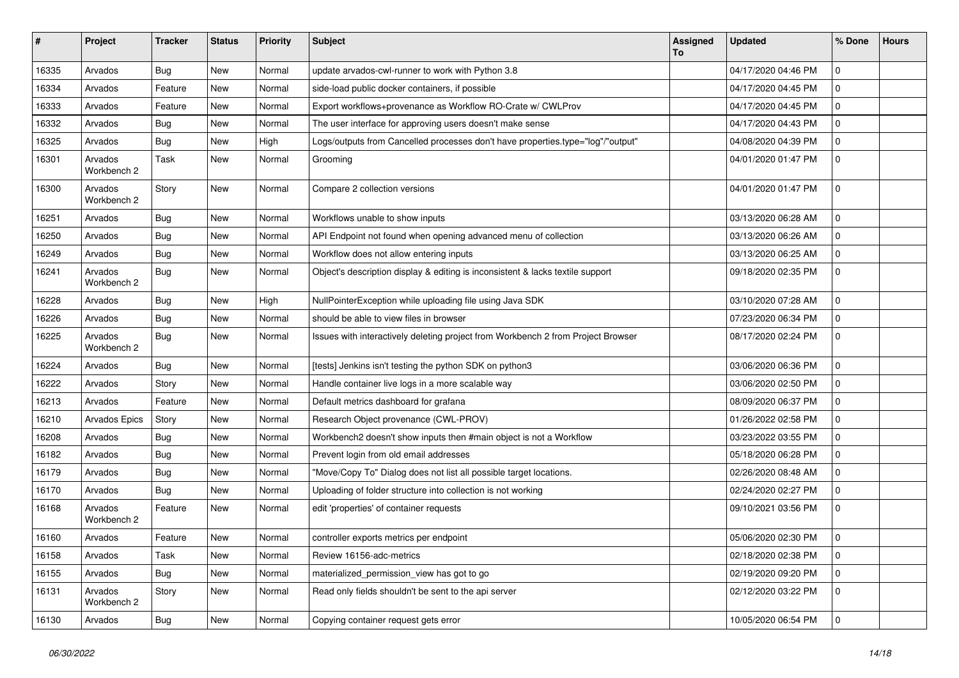| ∦     | Project                | Tracker    | <b>Status</b> | <b>Priority</b> | <b>Subject</b>                                                                   | Assigned<br>To | <b>Updated</b>      | % Done              | <b>Hours</b> |
|-------|------------------------|------------|---------------|-----------------|----------------------------------------------------------------------------------|----------------|---------------------|---------------------|--------------|
| 16335 | Arvados                | Bug        | New           | Normal          | update arvados-cwl-runner to work with Python 3.8                                |                | 04/17/2020 04:46 PM | $\mathbf 0$         |              |
| 16334 | Arvados                | Feature    | New           | Normal          | side-load public docker containers, if possible                                  |                | 04/17/2020 04:45 PM | $\mathbf 0$         |              |
| 16333 | Arvados                | Feature    | New           | Normal          | Export workflows+provenance as Workflow RO-Crate w/ CWLProv                      |                | 04/17/2020 04:45 PM | $\mathbf 0$         |              |
| 16332 | Arvados                | Bug        | New           | Normal          | The user interface for approving users doesn't make sense                        |                | 04/17/2020 04:43 PM | 0                   |              |
| 16325 | Arvados                | Bug        | New           | High            | Logs/outputs from Cancelled processes don't have properties.type="log"/"output"  |                | 04/08/2020 04:39 PM | $\mathbf 0$         |              |
| 16301 | Arvados<br>Workbench 2 | Task       | New           | Normal          | Grooming                                                                         |                | 04/01/2020 01:47 PM | $\mathbf 0$         |              |
| 16300 | Arvados<br>Workbench 2 | Story      | New           | Normal          | Compare 2 collection versions                                                    |                | 04/01/2020 01:47 PM | $\mathbf 0$         |              |
| 16251 | Arvados                | Bug        | New           | Normal          | Workflows unable to show inputs                                                  |                | 03/13/2020 06:28 AM | $\mathbf 0$         |              |
| 16250 | Arvados                | Bug        | New           | Normal          | API Endpoint not found when opening advanced menu of collection                  |                | 03/13/2020 06:26 AM | $\mathbf 0$         |              |
| 16249 | Arvados                | Bug        | New           | Normal          | Workflow does not allow entering inputs                                          |                | 03/13/2020 06:25 AM | 0                   |              |
| 16241 | Arvados<br>Workbench 2 | <b>Bug</b> | New           | Normal          | Object's description display & editing is inconsistent & lacks textile support   |                | 09/18/2020 02:35 PM | $\mathbf 0$         |              |
| 16228 | Arvados                | Bug        | New           | High            | NullPointerException while uploading file using Java SDK                         |                | 03/10/2020 07:28 AM | $\mathbf 0$         |              |
| 16226 | Arvados                | <b>Bug</b> | New           | Normal          | should be able to view files in browser                                          |                | 07/23/2020 06:34 PM | $\mathbf 0$         |              |
| 16225 | Arvados<br>Workbench 2 | <b>Bug</b> | New           | Normal          | Issues with interactively deleting project from Workbench 2 from Project Browser |                | 08/17/2020 02:24 PM | $\mathbf 0$         |              |
| 16224 | Arvados                | Bug        | New           | Normal          | [tests] Jenkins isn't testing the python SDK on python3                          |                | 03/06/2020 06:36 PM | $\mathbf 0$         |              |
| 16222 | Arvados                | Story      | New           | Normal          | Handle container live logs in a more scalable way                                |                | 03/06/2020 02:50 PM | 0                   |              |
| 16213 | Arvados                | Feature    | New           | Normal          | Default metrics dashboard for grafana                                            |                | 08/09/2020 06:37 PM | $\mathbf 0$         |              |
| 16210 | Arvados Epics          | Story      | New           | Normal          | Research Object provenance (CWL-PROV)                                            |                | 01/26/2022 02:58 PM | $\mathbf 0$         |              |
| 16208 | Arvados                | Bug        | New           | Normal          | Workbench2 doesn't show inputs then #main object is not a Workflow               |                | 03/23/2022 03:55 PM | 0                   |              |
| 16182 | Arvados                | <b>Bug</b> | New           | Normal          | Prevent login from old email addresses                                           |                | 05/18/2020 06:28 PM | $\mathbf{0}$        |              |
| 16179 | Arvados                | Bug        | New           | Normal          | "Move/Copy To" Dialog does not list all possible target locations.               |                | 02/26/2020 08:48 AM | 0                   |              |
| 16170 | Arvados                | <b>Bug</b> | New           | Normal          | Uploading of folder structure into collection is not working                     |                | 02/24/2020 02:27 PM | $\mathbf 0$         |              |
| 16168 | Arvados<br>Workbench 2 | Feature    | New           | Normal          | edit 'properties' of container requests                                          |                | 09/10/2021 03:56 PM | $\mathbf 0$         |              |
| 16160 | Arvados                | Feature    | New           | Normal          | controller exports metrics per endpoint                                          |                | 05/06/2020 02:30 PM | $\Omega$            |              |
| 16158 | Arvados                | Task       | New           | Normal          | Review 16156-adc-metrics                                                         |                | 02/18/2020 02:38 PM | 0                   |              |
| 16155 | Arvados                | Bug        | New           | Normal          | materialized permission view has got to go                                       |                | 02/19/2020 09:20 PM | l 0                 |              |
| 16131 | Arvados<br>Workbench 2 | Story      | New           | Normal          | Read only fields shouldn't be sent to the api server                             |                | 02/12/2020 03:22 PM | $\mathsf{O}\xspace$ |              |
| 16130 | Arvados                | <b>Bug</b> | New           | Normal          | Copying container request gets error                                             |                | 10/05/2020 06:54 PM | 0                   |              |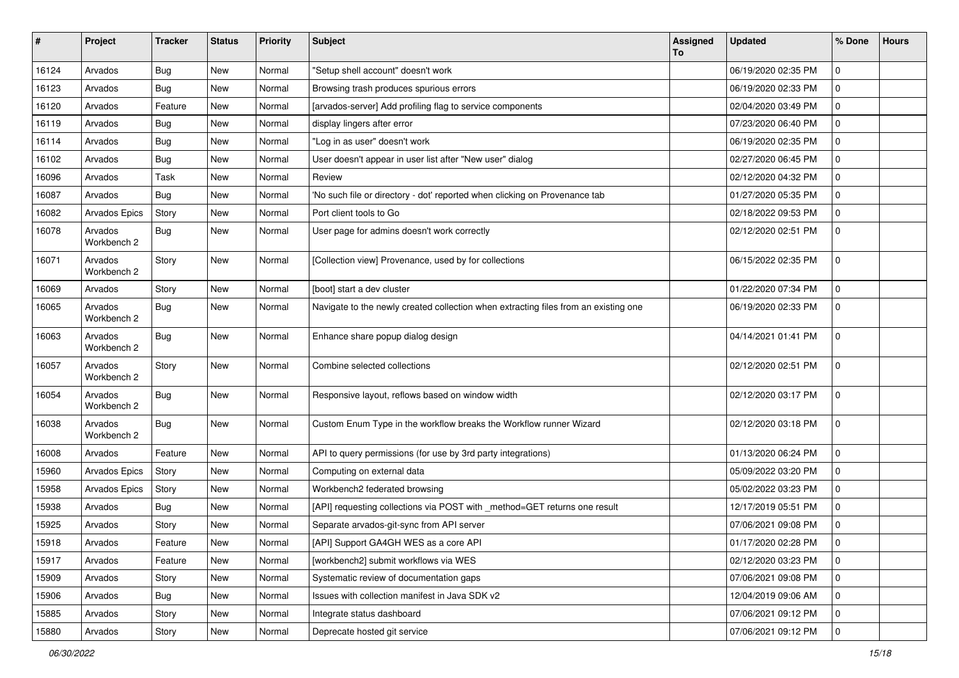| #     | Project                | <b>Tracker</b> | <b>Status</b> | <b>Priority</b> | <b>Subject</b>                                                                      | <b>Assigned</b><br>To | <b>Updated</b>      | % Done        | <b>Hours</b> |
|-------|------------------------|----------------|---------------|-----------------|-------------------------------------------------------------------------------------|-----------------------|---------------------|---------------|--------------|
| 16124 | Arvados                | Bug            | New           | Normal          | "Setup shell account" doesn't work                                                  |                       | 06/19/2020 02:35 PM | $\mathbf 0$   |              |
| 16123 | Arvados                | <b>Bug</b>     | New           | Normal          | Browsing trash produces spurious errors                                             |                       | 06/19/2020 02:33 PM | $\mathbf 0$   |              |
| 16120 | Arvados                | Feature        | New           | Normal          | [arvados-server] Add profiling flag to service components                           |                       | 02/04/2020 03:49 PM | $^{\prime}$ 0 |              |
| 16119 | Arvados                | Bug            | <b>New</b>    | Normal          | display lingers after error                                                         |                       | 07/23/2020 06:40 PM | 0             |              |
| 16114 | Arvados                | <b>Bug</b>     | New           | Normal          | "Log in as user" doesn't work                                                       |                       | 06/19/2020 02:35 PM | $\mathbf 0$   |              |
| 16102 | Arvados                | Bug            | New           | Normal          | User doesn't appear in user list after "New user" dialog                            |                       | 02/27/2020 06:45 PM | $\mathbf 0$   |              |
| 16096 | Arvados                | Task           | New           | Normal          | Review                                                                              |                       | 02/12/2020 04:32 PM | $\mathbf 0$   |              |
| 16087 | Arvados                | Bug            | New           | Normal          | 'No such file or directory - dot' reported when clicking on Provenance tab          |                       | 01/27/2020 05:35 PM | $\mathbf 0$   |              |
| 16082 | Arvados Epics          | Story          | New           | Normal          | Port client tools to Go                                                             |                       | 02/18/2022 09:53 PM | $\mathbf 0$   |              |
| 16078 | Arvados<br>Workbench 2 | Bug            | New           | Normal          | User page for admins doesn't work correctly                                         |                       | 02/12/2020 02:51 PM | $\mathbf 0$   |              |
| 16071 | Arvados<br>Workbench 2 | Story          | <b>New</b>    | Normal          | [Collection view] Provenance, used by for collections                               |                       | 06/15/2022 02:35 PM | $\mathbf 0$   |              |
| 16069 | Arvados                | Story          | New           | Normal          | [boot] start a dev cluster                                                          |                       | 01/22/2020 07:34 PM | $\mathbf 0$   |              |
| 16065 | Arvados<br>Workbench 2 | Bug            | New           | Normal          | Navigate to the newly created collection when extracting files from an existing one |                       | 06/19/2020 02:33 PM | $\mathbf 0$   |              |
| 16063 | Arvados<br>Workbench 2 | Bug            | <b>New</b>    | Normal          | Enhance share popup dialog design                                                   |                       | 04/14/2021 01:41 PM | l 0           |              |
| 16057 | Arvados<br>Workbench 2 | Story          | New           | Normal          | Combine selected collections                                                        |                       | 02/12/2020 02:51 PM | $\mathbf 0$   |              |
| 16054 | Arvados<br>Workbench 2 | Bug            | New           | Normal          | Responsive layout, reflows based on window width                                    |                       | 02/12/2020 03:17 PM | $\mathbf 0$   |              |
| 16038 | Arvados<br>Workbench 2 | Bug            | <b>New</b>    | Normal          | Custom Enum Type in the workflow breaks the Workflow runner Wizard                  |                       | 02/12/2020 03:18 PM | $\mathbf 0$   |              |
| 16008 | Arvados                | Feature        | New           | Normal          | API to query permissions (for use by 3rd party integrations)                        |                       | 01/13/2020 06:24 PM | $\mathbf 0$   |              |
| 15960 | Arvados Epics          | Story          | New           | Normal          | Computing on external data                                                          |                       | 05/09/2022 03:20 PM | $\mathbf 0$   |              |
| 15958 | Arvados Epics          | Story          | New           | Normal          | Workbench2 federated browsing                                                       |                       | 05/02/2022 03:23 PM | $\mathbf 0$   |              |
| 15938 | Arvados                | Bug            | New           | Normal          | [API] requesting collections via POST with _method=GET returns one result           |                       | 12/17/2019 05:51 PM | $\mathbf 0$   |              |
| 15925 | Arvados                | Story          | New           | Normal          | Separate arvados-git-sync from API server                                           |                       | 07/06/2021 09:08 PM | $\mathbf 0$   |              |
| 15918 | Arvados                | Feature        | New           | Normal          | [API] Support GA4GH WES as a core API                                               |                       | 01/17/2020 02:28 PM |               |              |
| 15917 | Arvados                | Feature        | New           | Normal          | [workbench2] submit workflows via WES                                               |                       | 02/12/2020 03:23 PM | $\mathbf 0$   |              |
| 15909 | Arvados                | Story          | New           | Normal          | Systematic review of documentation gaps                                             |                       | 07/06/2021 09:08 PM | $\mathbf 0$   |              |
| 15906 | Arvados                | Bug            | New           | Normal          | Issues with collection manifest in Java SDK v2                                      |                       | 12/04/2019 09:06 AM | 0             |              |
| 15885 | Arvados                | Story          | New           | Normal          | Integrate status dashboard                                                          |                       | 07/06/2021 09:12 PM | 0             |              |
| 15880 | Arvados                | Story          | New           | Normal          | Deprecate hosted git service                                                        |                       | 07/06/2021 09:12 PM | l 0           |              |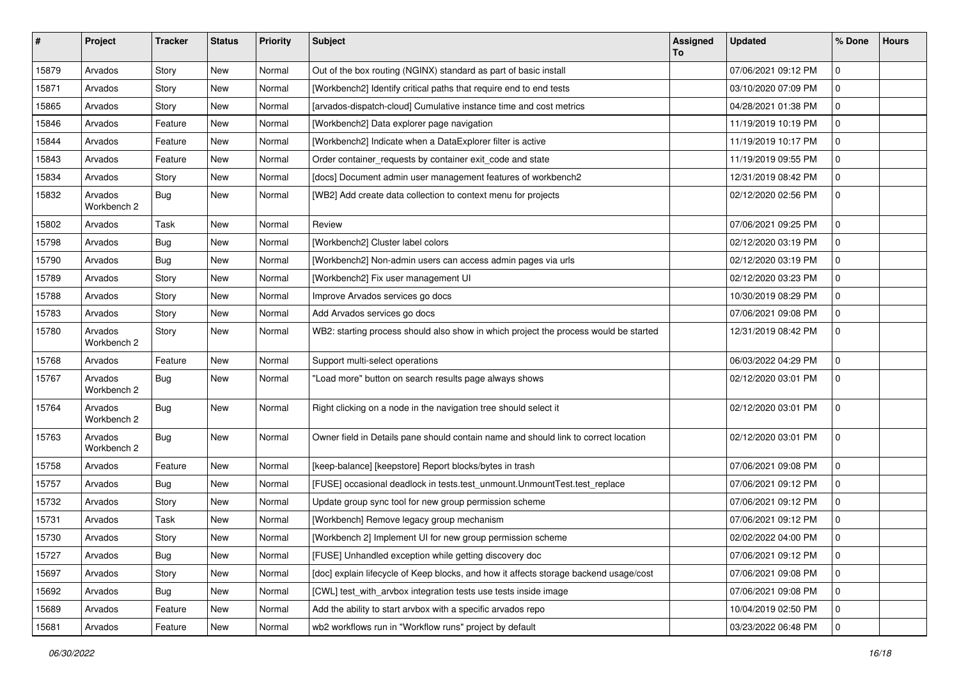| #     | Project                | Tracker    | <b>Status</b> | <b>Priority</b> | Subject                                                                               | Assigned<br>To | <b>Updated</b>      | % Done              | <b>Hours</b> |
|-------|------------------------|------------|---------------|-----------------|---------------------------------------------------------------------------------------|----------------|---------------------|---------------------|--------------|
| 15879 | Arvados                | Story      | New           | Normal          | Out of the box routing (NGINX) standard as part of basic install                      |                | 07/06/2021 09:12 PM | $\mathbf 0$         |              |
| 15871 | Arvados                | Story      | New           | Normal          | [Workbench2] Identify critical paths that require end to end tests                    |                | 03/10/2020 07:09 PM | $\mathbf 0$         |              |
| 15865 | Arvados                | Story      | New           | Normal          | [arvados-dispatch-cloud] Cumulative instance time and cost metrics                    |                | 04/28/2021 01:38 PM | $\mathbf 0$         |              |
| 15846 | Arvados                | Feature    | New           | Normal          | [Workbench2] Data explorer page navigation                                            |                | 11/19/2019 10:19 PM | 0                   |              |
| 15844 | Arvados                | Feature    | New           | Normal          | [Workbench2] Indicate when a DataExplorer filter is active                            |                | 11/19/2019 10:17 PM | $\mathbf 0$         |              |
| 15843 | Arvados                | Feature    | New           | Normal          | Order container_requests by container exit_code and state                             |                | 11/19/2019 09:55 PM | $\mathbf 0$         |              |
| 15834 | Arvados                | Story      | New           | Normal          | [docs] Document admin user management features of workbench2                          |                | 12/31/2019 08:42 PM | $\mathbf 0$         |              |
| 15832 | Arvados<br>Workbench 2 | Bug        | New           | Normal          | [WB2] Add create data collection to context menu for projects                         |                | 02/12/2020 02:56 PM | $\mathbf 0$         |              |
| 15802 | Arvados                | Task       | New           | Normal          | Review                                                                                |                | 07/06/2021 09:25 PM | $\mathbf 0$         |              |
| 15798 | Arvados                | <b>Bug</b> | New           | Normal          | [Workbench2] Cluster label colors                                                     |                | 02/12/2020 03:19 PM | $\mathbf 0$         |              |
| 15790 | Arvados                | <b>Bug</b> | New           | Normal          | [Workbench2] Non-admin users can access admin pages via urls                          |                | 02/12/2020 03:19 PM | 0                   |              |
| 15789 | Arvados                | Story      | New           | Normal          | [Workbench2] Fix user management UI                                                   |                | 02/12/2020 03:23 PM | 0                   |              |
| 15788 | Arvados                | Story      | New           | Normal          | Improve Arvados services go docs                                                      |                | 10/30/2019 08:29 PM | $\mathbf 0$         |              |
| 15783 | Arvados                | Story      | New           | Normal          | Add Arvados services go docs                                                          |                | 07/06/2021 09:08 PM | $\mathbf 0$         |              |
| 15780 | Arvados<br>Workbench 2 | Story      | New           | Normal          | WB2: starting process should also show in which project the process would be started  |                | 12/31/2019 08:42 PM | $\mathbf 0$         |              |
| 15768 | Arvados                | Feature    | New           | Normal          | Support multi-select operations                                                       |                | 06/03/2022 04:29 PM | $\mathbf 0$         |              |
| 15767 | Arvados<br>Workbench 2 | Bug        | New           | Normal          | "Load more" button on search results page always shows                                |                | 02/12/2020 03:01 PM | $\mathbf 0$         |              |
| 15764 | Arvados<br>Workbench 2 | Bug        | New           | Normal          | Right clicking on a node in the navigation tree should select it                      |                | 02/12/2020 03:01 PM | $\mathbf 0$         |              |
| 15763 | Arvados<br>Workbench 2 | Bug        | New           | Normal          | Owner field in Details pane should contain name and should link to correct location   |                | 02/12/2020 03:01 PM | $\mathbf 0$         |              |
| 15758 | Arvados                | Feature    | New           | Normal          | [keep-balance] [keepstore] Report blocks/bytes in trash                               |                | 07/06/2021 09:08 PM | $\mathbf 0$         |              |
| 15757 | Arvados                | Bug        | New           | Normal          | [FUSE] occasional deadlock in tests.test_unmount.UnmountTest.test_replace             |                | 07/06/2021 09:12 PM | $\mathbf 0$         |              |
| 15732 | Arvados                | Story      | New           | Normal          | Update group sync tool for new group permission scheme                                |                | 07/06/2021 09:12 PM | $\mathbf 0$         |              |
| 15731 | Arvados                | Task       | New           | Normal          | [Workbench] Remove legacy group mechanism                                             |                | 07/06/2021 09:12 PM | 0                   |              |
| 15730 | Arvados                | Story      | New           | Normal          | [Workbench 2] Implement UI for new group permission scheme                            |                | 02/02/2022 04:00 PM | $\mathbf 0$         |              |
| 15727 | Arvados                | Bug        | New           | Normal          | [FUSE] Unhandled exception while getting discovery doc                                |                | 07/06/2021 09:12 PM | 0                   |              |
| 15697 | Arvados                | Story      | New           | Normal          | [doc] explain lifecycle of Keep blocks, and how it affects storage backend usage/cost |                | 07/06/2021 09:08 PM | 0                   |              |
| 15692 | Arvados                | Bug        | New           | Normal          | [CWL] test_with_arvbox integration tests use tests inside image                       |                | 07/06/2021 09:08 PM | $\mathsf{O}\xspace$ |              |
| 15689 | Arvados                | Feature    | New           | Normal          | Add the ability to start arvbox with a specific arvados repo                          |                | 10/04/2019 02:50 PM | 0                   |              |
| 15681 | Arvados                | Feature    | New           | Normal          | wb2 workflows run in "Workflow runs" project by default                               |                | 03/23/2022 06:48 PM | $\mathbf 0$         |              |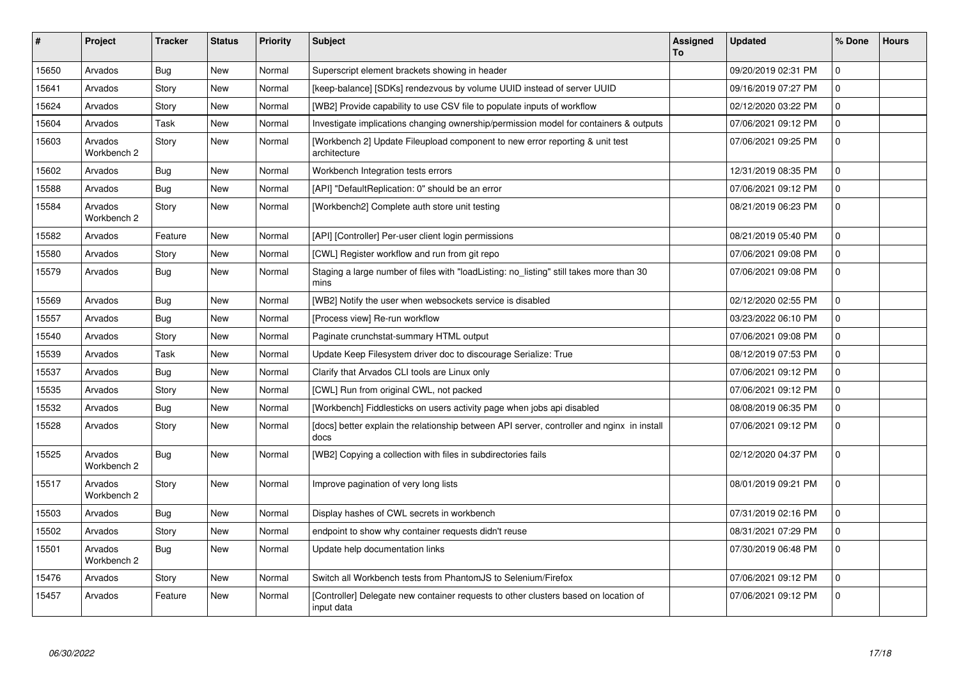| $\vert$ # | Project                | <b>Tracker</b> | <b>Status</b> | <b>Priority</b> | <b>Subject</b>                                                                                     | Assigned<br>To | <b>Updated</b>      | % Done      | <b>Hours</b> |
|-----------|------------------------|----------------|---------------|-----------------|----------------------------------------------------------------------------------------------------|----------------|---------------------|-------------|--------------|
| 15650     | Arvados                | Bug            | New           | Normal          | Superscript element brackets showing in header                                                     |                | 09/20/2019 02:31 PM | $\mathbf 0$ |              |
| 15641     | Arvados                | Story          | <b>New</b>    | Normal          | [keep-balance] [SDKs] rendezvous by volume UUID instead of server UUID                             |                | 09/16/2019 07:27 PM | $\mathbf 0$ |              |
| 15624     | Arvados                | Story          | <b>New</b>    | Normal          | [WB2] Provide capability to use CSV file to populate inputs of workflow                            |                | 02/12/2020 03:22 PM | $\Omega$    |              |
| 15604     | Arvados                | Task           | <b>New</b>    | Normal          | Investigate implications changing ownership/permission model for containers & outputs              |                | 07/06/2021 09:12 PM | $\mathbf 0$ |              |
| 15603     | Arvados<br>Workbench 2 | Story          | <b>New</b>    | Normal          | [Workbench 2] Update Fileupload component to new error reporting & unit test<br>architecture       |                | 07/06/2021 09:25 PM | $\Omega$    |              |
| 15602     | Arvados                | Bug            | <b>New</b>    | Normal          | Workbench Integration tests errors                                                                 |                | 12/31/2019 08:35 PM | $\mathbf 0$ |              |
| 15588     | Arvados                | <b>Bug</b>     | <b>New</b>    | Normal          | [API] "DefaultReplication: 0" should be an error                                                   |                | 07/06/2021 09:12 PM | $\Omega$    |              |
| 15584     | Arvados<br>Workbench 2 | Story          | <b>New</b>    | Normal          | [Workbench2] Complete auth store unit testing                                                      |                | 08/21/2019 06:23 PM | $\mathbf 0$ |              |
| 15582     | Arvados                | Feature        | <b>New</b>    | Normal          | [API] [Controller] Per-user client login permissions                                               |                | 08/21/2019 05:40 PM | $\mathbf 0$ |              |
| 15580     | Arvados                | Story          | <b>New</b>    | Normal          | [CWL] Register workflow and run from git repo                                                      |                | 07/06/2021 09:08 PM | $\mathbf 0$ |              |
| 15579     | Arvados                | Bug            | <b>New</b>    | Normal          | Staging a large number of files with "loadListing: no_listing" still takes more than 30<br>mins    |                | 07/06/2021 09:08 PM | $\mathbf 0$ |              |
| 15569     | Arvados                | Bug            | <b>New</b>    | Normal          | [WB2] Notify the user when websockets service is disabled                                          |                | 02/12/2020 02:55 PM | $\Omega$    |              |
| 15557     | Arvados                | <b>Bug</b>     | <b>New</b>    | Normal          | [Process view] Re-run workflow                                                                     |                | 03/23/2022 06:10 PM | $\mathbf 0$ |              |
| 15540     | Arvados                | Story          | <b>New</b>    | Normal          | Paginate crunchstat-summary HTML output                                                            |                | 07/06/2021 09:08 PM | $\mathbf 0$ |              |
| 15539     | Arvados                | Task           | New           | Normal          | Update Keep Filesystem driver doc to discourage Serialize: True                                    |                | 08/12/2019 07:53 PM | $\mathbf 0$ |              |
| 15537     | Arvados                | <b>Bug</b>     | New           | Normal          | Clarify that Arvados CLI tools are Linux only                                                      |                | 07/06/2021 09:12 PM | $\mathbf 0$ |              |
| 15535     | Arvados                | Story          | <b>New</b>    | Normal          | [CWL] Run from original CWL, not packed                                                            |                | 07/06/2021 09:12 PM | $\mathbf 0$ |              |
| 15532     | Arvados                | Bug            | New           | Normal          | [Workbench] Fiddlesticks on users activity page when jobs api disabled                             |                | 08/08/2019 06:35 PM | $\mathbf 0$ |              |
| 15528     | Arvados                | Story          | <b>New</b>    | Normal          | [docs] better explain the relationship between API server, controller and nginx in install<br>docs |                | 07/06/2021 09:12 PM | $\Omega$    |              |
| 15525     | Arvados<br>Workbench 2 | <b>Bug</b>     | New           | Normal          | [WB2] Copying a collection with files in subdirectories fails                                      |                | 02/12/2020 04:37 PM | $\mathbf 0$ |              |
| 15517     | Arvados<br>Workbench 2 | Story          | New           | Normal          | Improve pagination of very long lists                                                              |                | 08/01/2019 09:21 PM | $\mathbf 0$ |              |
| 15503     | Arvados                | Bug            | New           | Normal          | Display hashes of CWL secrets in workbench                                                         |                | 07/31/2019 02:16 PM | $\mathbf 0$ |              |
| 15502     | Arvados                | Story          | New           | Normal          | endpoint to show why container requests didn't reuse                                               |                | 08/31/2021 07:29 PM | $\mathbf 0$ |              |
| 15501     | Arvados<br>Workbench 2 | <b>Bug</b>     | New           | Normal          | Update help documentation links                                                                    |                | 07/30/2019 06:48 PM | $\Omega$    |              |
| 15476     | Arvados                | Story          | New           | Normal          | Switch all Workbench tests from PhantomJS to Selenium/Firefox                                      |                | 07/06/2021 09:12 PM | $\mathbf 0$ |              |
| 15457     | Arvados                | Feature        | New           | Normal          | [Controller] Delegate new container requests to other clusters based on location of<br>input data  |                | 07/06/2021 09:12 PM | $\mathbf 0$ |              |